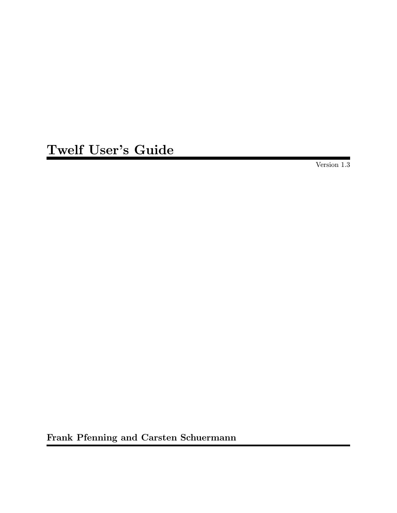Twelf User's Guide

Version 1.3

Frank Pfenning and Carsten Schuermann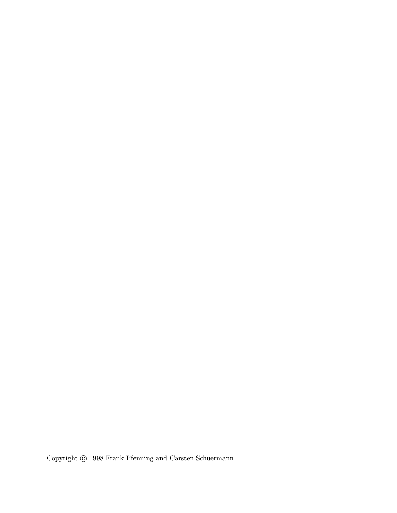Copyright  $\odot$  1998 Frank Pfenning and Carsten Schuermann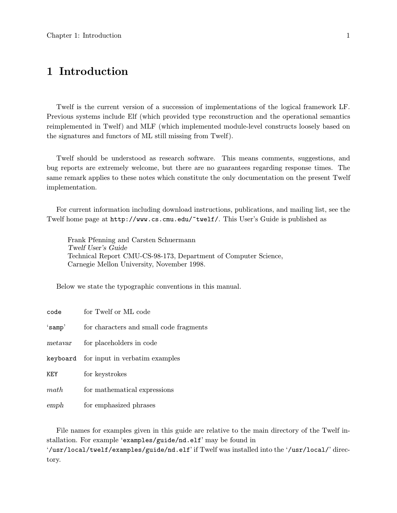# 1 Introduction

Twelf is the current version of a succession of implementations of the logical framework LF. Previous systems include Elf (which provided type reconstruction and the operational semantics reimplemented in Twelf) and MLF (which implemented module-level constructs loosely based on the signatures and functors of ML still missing from Twelf).

Twelf should be understood as research software. This means comments, suggestions, and bug reports are extremely welcome, but there are no guarantees regarding response times. The same remark applies to these notes which constitute the only documentation on the present Twelf implementation.

For current information including download instructions, publications, and mailing list, see the Twelf home page at http://www.cs.cmu.edu/~twelf/. This User's Guide is published as

Frank Pfenning and Carsten Schuermann Twelf User's Guide Technical Report CMU-CS-98-173, Department of Computer Science, Carnegie Mellon University, November 1998.

Below we state the typographic conventions in this manual.

| code    | for Twelf or ML code                    |
|---------|-----------------------------------------|
| 'samp'  | for characters and small code fragments |
| metavar | for placeholders in code                |
|         | keyboard for input in verbatim examples |
| KEY     | for keystrokes                          |
| math    | for mathematical expressions            |
| emph    | for emphasized phrases                  |

File names for examples given in this guide are relative to the main directory of the Twelf installation. For example 'examples/guide/nd.elf' may be found in '/usr/local/twelf/examples/guide/nd.elf' if Twelf was installed into the '/usr/local/' directory.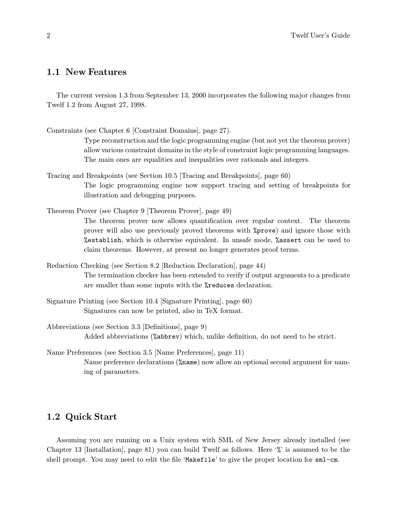## 1.1 New Features

The current version 1.3 from September 13, 2000 incorporates the following major changes from Twelf 1.2 from August 27, 1998.

Constraints (see Chapter 6 [Constraint Domains], page 27).

Type reconstruction and the logic programming engine (but not yet the theorem prover) allow various constraint domains in the style of constraint logic programming languages. The main ones are equalities and inequalities over rationals and integers.

Tracing and Breakpoints (see Section 10.5 [Tracing and Breakpoints], page 60) The logic programming engine now support tracing and setting of breakpoints for illustration and debugging purposes.

Theorem Prover (see Chapter 9 [Theorem Prover], page 49) The theorem prover now allows quantification over regular context. The theorem prover will also use previously proved theorems with %prove) and ignore those with %establish, which is otherwise equivalent. In unsafe mode, %assert can be used to claim theorems. However, at present no longer generates proof terms.

- Reduction Checking (see Section 8.2 [Reduction Declaration], page 44) The termination checker has been extended to verify if output arguments to a predicate are smaller than some inputs with the %reduces declaration.
- Signature Printing (see Section 10.4 [Signature Printing], page 60) Signatures can now be printed, also in TeX format.
- Abbreviations (see Section 3.3 [Definitions], page 9) Added abbreviations (%abbrev) which, unlike definition, do not need to be strict.
- Name Preferences (see Section 3.5 [Name Preferences], page 11) Name preference declarations ( $\lambda$ name) now allow an optional second argument for naming of parameters.

# 1.2 Quick Start

Assuming you are running on a Unix system with SML of New Jersey already installed (see Chapter 13 [Installation], page 81) you can build Twelf as follows. Here '%' is assumed to be the shell prompt. You may need to edit the file 'Makefile' to give the proper location for sml-cm.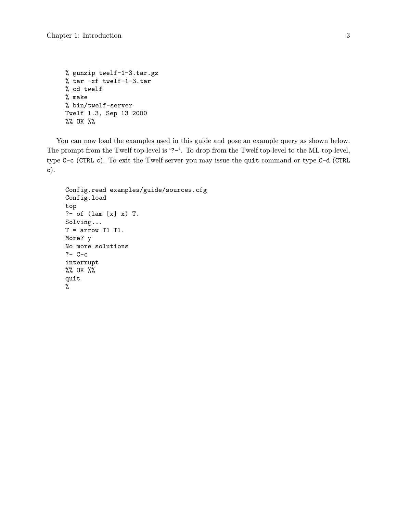```
% gunzip twelf-1-3.tar.gz
% tar -xf twelf-1-3.tar
% cd twelf
% make
% bin/twelf-server
Twelf 1.3, Sep 13 2000
%% OK %%
```
You can now load the examples used in this guide and pose an example query as shown below. The prompt from the Twelf top-level is '?-'. To drop from the Twelf top-level to the ML top-level, type C-c (CTRL c). To exit the Twelf server you may issue the quit command or type C-d (CTRL c).

```
Config.read examples/guide/sources.cfg
Config.load
top
?- of (lam [x] x) T.
Solving...
T = arrow T1 T1.
More? y
No more solutions
?- C-c
interrupt
%% OK %%
quit
%
```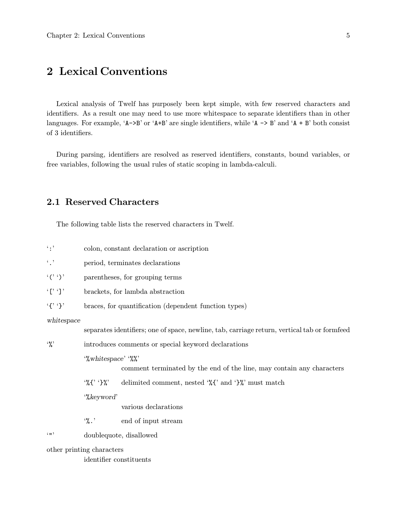# 2 Lexical Conventions

Lexical analysis of Twelf has purposely been kept simple, with few reserved characters and identifiers. As a result one may need to use more whitespace to separate identifiers than in other languages. For example, ' $A \rightarrow B'$  or ' $A + B'$  are single identifiers, while ' $A \rightarrow B'$  and ' $A + B'$  both consist of 3 identifiers.

During parsing, identifiers are resolved as reserved identifiers, constants, bound variables, or free variables, following the usual rules of static scoping in lambda-calculi.

# 2.1 Reserved Characters

The following table lists the reserved characters in Twelf.

| $\cdot$ : $\cdot$           | colon, constant declaration or ascription             |                                                                                              |  |  |  |  |
|-----------------------------|-------------------------------------------------------|----------------------------------------------------------------------------------------------|--|--|--|--|
| $\cdot$ , $\cdot$           | period, terminates declarations                       |                                                                                              |  |  |  |  |
| $\langle$ (', ')'           | parentheses, for grouping terms                       |                                                                                              |  |  |  |  |
|                             | brackets, for lambda abstraction                      |                                                                                              |  |  |  |  |
| $\mathcal{L}$ $\mathcal{L}$ | braces, for quantification (dependent function types) |                                                                                              |  |  |  |  |
| whitespace                  |                                                       | separates identifiers; one of space, newline, tab, carriage return, vertical tab or formfeed |  |  |  |  |
| $\cdot \gamma$              | introduces comments or special keyword declarations   |                                                                                              |  |  |  |  |
|                             | $\mathcal{C}$ whitespace' $\mathcal{C}$ '             | comment terminated by the end of the line, may contain any characters                        |  |  |  |  |
|                             | $\mathcal{C}$ $\mathcal{C}$ $\mathcal{C}$             | delimited comment, nested $\mathcal{K}$ and $\mathcal{V}$ must match                         |  |  |  |  |
|                             | ""keyword"                                            | various declarations                                                                         |  |  |  |  |
|                             | $\cdot\%$ .                                           | end of input stream                                                                          |  |  |  |  |
| $6 \times 11$               |                                                       | doublequote, disallowed                                                                      |  |  |  |  |
|                             | other printing characters                             |                                                                                              |  |  |  |  |
|                             | identifier constituents                               |                                                                                              |  |  |  |  |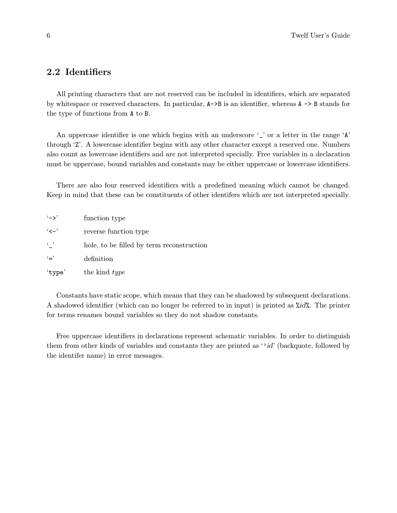# 2.2 Identifiers

All printing characters that are not reserved can be included in identifiers, which are separated by whitespace or reserved characters. In particular,  $A \rightarrow B$  is an identifier, whereas  $A \rightarrow B$  stands for the type of functions from A to B.

An uppercase identifier is one which begins with an underscore  $\cdot$  or a letter in the range  $\cdot$  A' through 'Z'. A lowercase identifier begins with any other character except a reserved one. Numbers also count as lowercase identifiers and are not interpreted specially. Free variables in a declaration must be uppercase, bound variables and constants may be either uppercase or lowercase identifiers.

There are also four reserved identifiers with a predefined meaning which cannot be changed. Keep in mind that these can be constituents of other identifers which are not interpreted specially.

| $(-)$             | function type                             |
|-------------------|-------------------------------------------|
| $\cdot$ $\lt -$ ' | reverse function type                     |
| $\leftarrow$      | hole, to be filled by term reconstruction |
| $`="$             | definition                                |
| 'type'            | the kind <i>type</i>                      |

Constants have static scope, which means that they can be shadowed by subsequent declarations. A shadowed identifier (which can no longer be referred to in input) is printed as %id%. The printer for terms renames bound variables so they do not shadow constants.

Free uppercase identifiers in declarations represent schematic variables. In order to distinguish them from other kinds of variables and constants they are printed as ''id' (backquote, followed by the identifer name) in error messages.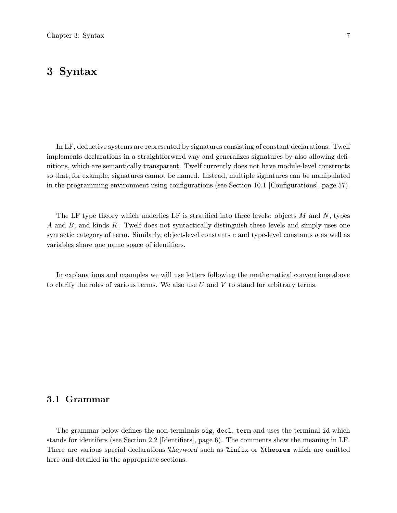# 3 Syntax

In LF, deductive systems are represented by signatures consisting of constant declarations. Twelf implements declarations in a straightforward way and generalizes signatures by also allowing definitions, which are semantically transparent. Twelf currently does not have module-level constructs so that, for example, signatures cannot be named. Instead, multiple signatures can be manipulated in the programming environment using configurations (see Section 10.1 [Configurations], page 57).

The LF type theory which underlies LF is stratified into three levels: objects  $M$  and  $N$ , types A and B, and kinds K. Twelf does not syntactically distinguish these levels and simply uses one syntactic category of term. Similarly, object-level constants  $c$  and type-level constants  $a$  as well as variables share one name space of identifiers.

In explanations and examples we will use letters following the mathematical conventions above to clarify the roles of various terms. We also use  $U$  and  $V$  to stand for arbitrary terms.

## 3.1 Grammar

The grammar below defines the non-terminals sig, decl, term and uses the terminal id which stands for identifers (see Section 2.2 [Identifiers], page 6). The comments show the meaning in LF. There are various special declarations %keyword such as %infix or %theorem which are omitted here and detailed in the appropriate sections.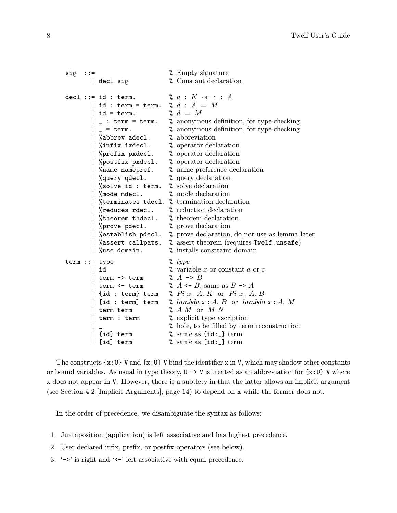```
sig ::= \frac{1}{2} Empty signature
       | decl sig \% Constant declaration
decl ::= id : term. \mathcal{C} a : K or c : A| id : term = term. % d : A = M<br>| id = term. % d = M\vert id = term.
       | _ : term = term. % anonymous definition, for type-checking
       |\_\_ = term. % anonymous definition, for type-checking |\% abbrev adecl. % abbreviation
       | %abbrev adecl.
       | %infix ixdecl. % operator declaration
       | %prefix pxdecl. % operator declaration
       | %postfix pxdecl. % operator declaration
       | %name namepref. % name preference declaration
       | %query qdecl. % query declaration<br>| %solve id : term. % solve declaration
       \frac{1}{2} % solve id : term.
       | %mode mdecl. % mode declaration
       | %terminates tdecl. % termination declaration
       | %reduces rdecl. % reduction declaration
       | %theorem thdecl. % theorem declaration
       | %prove pdecl. % prove declaration
       | %establish pdecl. % prove declaration, do not use as lemma later
       | %assert callpats. % assert theorem (requires Twelf.unsafe)
       | %use domain. % installs constraint domain
term ::= type % type| id \% variable x or constant a or c<br>| term -> term \% A -> B
       | term \rightarrow term
       | term \leq term \% A \leq B, same as B \to A| {id : term} term % Pi x : A. K or Pi x : A. B
       | [id : term] term % lambda x : A. B or lambda x : A. M
       | term term \lambda A M or M N| term : term \frac{1}{2} explicit type ascription
       | \Box % hole, to be filled by term reconstruction
       | {id} term % same as {id:_} term
       | [id] term % same as [id:_] term
```
The constructs  $\{x:U\}$  V and  $[x:U]$  V bind the identifier x in V, which may shadow other constants or bound variables. As usual in type theory,  $U \rightarrow V$  is treated as an abbreviation for  $\{x:U\}$  V where x does not appear in V. However, there is a subtlety in that the latter allows an implicit argument (see Section 4.2 [Implicit Arguments], page 14) to depend on x while the former does not.

In the order of precedence, we disambiguate the syntax as follows:

- 1. Juxtaposition (application) is left associative and has highest precedence.
- 2. User declared infix, prefix, or postfix operators (see below).
- 3. '->' is right and '<-' left associative with equal precedence.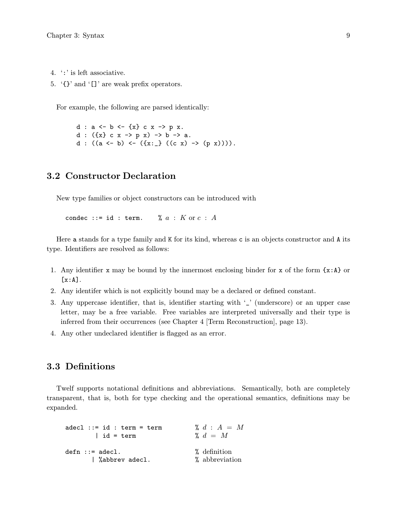- 4. ':' is left associative.
- 5. '{}' and '[]' are weak prefix operators.

For example, the following are parsed identically:

d :  $a \leftarrow b \leftarrow \{x\} c x \rightarrow p x$ . d :  $({x} c x \rightarrow p x) \rightarrow b \rightarrow a$ . d :  $((a \leftarrow b) \leftarrow (\{x:\_\} ((c x) \rightarrow (p x))))$ .

# 3.2 Constructor Declaration

New type families or object constructors can be introduced with

condec ::= id : term.  $\% a : K$  or  $c : A$ 

Here a stands for a type family and K for its kind, whereas c is an objects constructor and A its type. Identifiers are resolved as follows:

- 1. Any identifier x may be bound by the innermost enclosing binder for x of the form  $\{x : A\}$  or  $[x:A].$
- 2. Any identifer which is not explicitly bound may be a declared or defined constant.
- 3. Any uppercase identifier, that is, identifier starting with  $\frac{'}{'}$  (underscore) or an upper case letter, may be a free variable. Free variables are interpreted universally and their type is inferred from their occurrences (see Chapter 4 [Term Reconstruction], page 13).
- 4. Any other undeclared identifier is flagged as an error.

## 3.3 Definitions

Twelf supports notational definitions and abbreviations. Semantically, both are completely transparent, that is, both for type checking and the operational semantics, definitions may be expanded.

```
adecl ::= id : term = term \forall a \; d : A = M| id = term \lambda d = Mdefn ::= adecl. % definition
     | %abbrev adecl. % abbreviation
```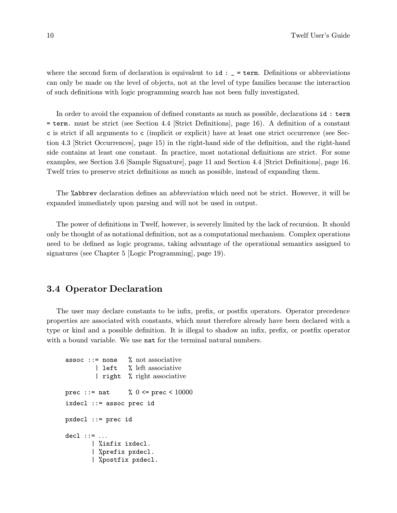where the second form of declaration is equivalent to  $id :$   $=$   $=$   $+$   $\epsilon$ m. Definitions or abbreviations can only be made on the level of objects, not at the level of type families because the interaction of such definitions with logic programming search has not been fully investigated.

In order to avoid the expansion of defined constants as much as possible, declarations id : term = term. must be strict (see Section 4.4 [Strict Definitions], page 16). A definition of a constant c is strict if all arguments to c (implicit or explicit) have at least one strict occurrence (see Section 4.3 [Strict Occurrences], page 15) in the right-hand side of the definition, and the right-hand side contains at least one constant. In practice, most notational definitions are strict. For some examples, see Section 3.6 [Sample Signature], page 11 and Section 4.4 [Strict Definitions], page 16. Twelf tries to preserve strict definitions as much as possible, instead of expanding them.

The %abbrev declaration defines an abbreviation which need not be strict. However, it will be expanded immediately upon parsing and will not be used in output.

The power of definitions in Twelf, however, is severely limited by the lack of recursion. It should only be thought of as notational definition, not as a computational mechanism. Complex operations need to be defined as logic programs, taking advantage of the operational semantics assigned to signatures (see Chapter 5 [Logic Programming], page 19).

#### 3.4 Operator Declaration

The user may declare constants to be infix, prefix, or postfix operators. Operator precedence properties are associated with constants, which must therefore already have been declared with a type or kind and a possible definition. It is illegal to shadow an infix, prefix, or postfix operator with a bound variable. We use nat for the terminal natural numbers.

```
assoc ::= none % not associative
        | left % left associative
        | right % right associative
prec ::= nat \% 0 \leq prec < 10000
ixdecl ::= assoc prec id
pxdecl ::= prec id
del ::: ...| %infix ixdecl.
       | %prefix pxdecl.
       | %postfix pxdecl.
```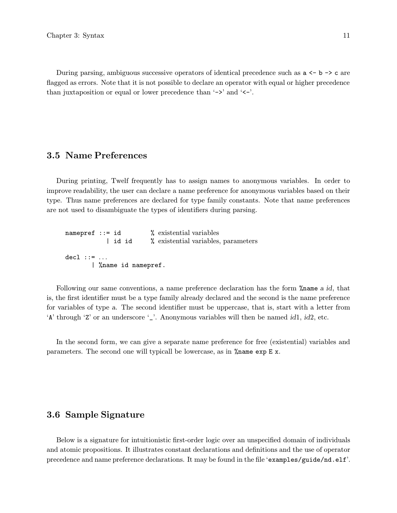During parsing, ambiguous successive operators of identical precedence such as  $a \leftarrow b \rightarrow c$  are flagged as errors. Note that it is not possible to declare an operator with equal or higher precedence than juxtaposition or equal or lower precedence than '->' and '<-'.

# 3.5 Name Preferences

During printing, Twelf frequently has to assign names to anonymous variables. In order to improve readability, the user can declare a name preference for anonymous variables based on their type. Thus name preferences are declared for type family constants. Note that name preferences are not used to disambiguate the types of identifiers during parsing.

| $namepref ::= id$ |         |                     | % existential variables             |  |
|-------------------|---------|---------------------|-------------------------------------|--|
|                   | l id id |                     | % existential variables, parameters |  |
| $dec1 :: = $      |         |                     |                                     |  |
|                   |         | % name id namepref. |                                     |  |

Following our same conventions, a name preference declaration has the form %name a id, that is, the first identifier must be a type family already declared and the second is the name preference for variables of type a. The second identifier must be uppercase, that is, start with a letter from 'A' through 'Z' or an underscore '\_'. Anonymous variables will then be named id1, id2, etc.

In the second form, we can give a separate name preference for free (existential) variables and parameters. The second one will typicall be lowercase, as in %name exp E x.

## 3.6 Sample Signature

Below is a signature for intuitionistic first-order logic over an unspecified domain of individuals and atomic propositions. It illustrates constant declarations and definitions and the use of operator precedence and name preference declarations. It may be found in the file 'examples/guide/nd.elf'.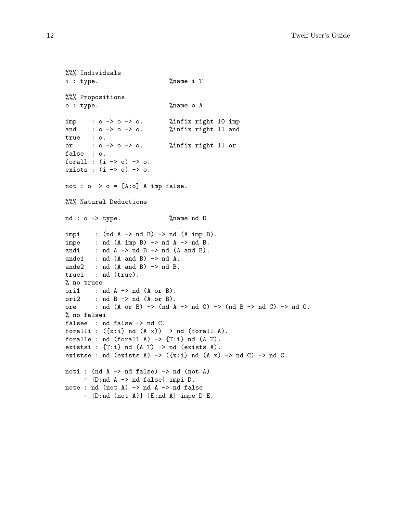```
%%% Individuals
i : type. %name i T
%%% Propositions
o : type. %name o A
imp : o \rightarrow o \rightarrow o. %infix right 10 imp
and : o \rightarrow o \rightarrow o. %infix right 11 and
true : o.
or : o \rightarrow o \rightarrow o. %infix right 11 or
false : o.
forall : (i \rightarrow o) \rightarrow o.
exists : (i \rightarrow o) \rightarrow o.
not : o \rightarrow o = [A:o] A imp false.
%%% Natural Deductions
nd : o \rightarrow type. %name nd D
impi : (nd A -> nd B) -> nd (A imp B).
impe : nd (A imp B) -> nd A -> nd B.
andi : nd A \rightarrow nd B \rightarrow nd (A and B).
ande1 : nd (A and B) \rightarrow nd A.
ande2 : nd (A and B) -> nd B.
truei : nd (true).
% no truee
ori1 : nd A \rightarrow nd (A or B).
ori2 : nd B \rightarrow nd (A or B).
ore : nd (A \text{ or } B) \rightarrow (nd A \rightarrow nd C) \rightarrow (nd B \rightarrow nd C) \rightarrow nd C.
% no falsei
falsee : nd false -> nd C.
foralli : ({x: i} \text{ and } (A x)) \rightarrow \text{nd} (forall A).
foralle : nd (forall A) -> {T:i} nd (A T).
existsi : {T: i} nd (A T) -> nd (exists A).
existse : nd (exists A) \rightarrow ({x:i} nd (A x) \rightarrow nd C) \rightarrow nd C.
noti : (nd A \rightarrow nd false) \rightarrow nd (not A)
      = [D:nd A -> nd false] impi D.
note : nd (not A) \rightarrow nd A \rightarrow nd false
      = [D:nd (not A)] [E:nd A] impe D E.
```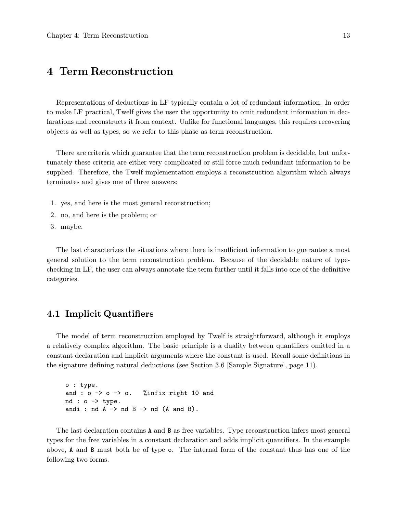# 4 Term Reconstruction

Representations of deductions in LF typically contain a lot of redundant information. In order to make LF practical, Twelf gives the user the opportunity to omit redundant information in declarations and reconstructs it from context. Unlike for functional languages, this requires recovering objects as well as types, so we refer to this phase as term reconstruction.

There are criteria which guarantee that the term reconstruction problem is decidable, but unfortunately these criteria are either very complicated or still force much redundant information to be supplied. Therefore, the Twelf implementation employs a reconstruction algorithm which always terminates and gives one of three answers:

- 1. yes, and here is the most general reconstruction;
- 2. no, and here is the problem; or
- 3. maybe.

The last characterizes the situations where there is insufficient information to guarantee a most general solution to the term reconstruction problem. Because of the decidable nature of typechecking in LF, the user can always annotate the term further until it falls into one of the definitive categories.

## 4.1 Implicit Quantifiers

The model of term reconstruction employed by Twelf is straightforward, although it employs a relatively complex algorithm. The basic principle is a duality between quantifiers omitted in a constant declaration and implicit arguments where the constant is used. Recall some definitions in the signature defining natural deductions (see Section 3.6 [Sample Signature], page 11).

```
o : type.
and : o \rightarrow o \rightarrow o. %infix right 10 and
nd : o \rightarrow type.
andi : nd A \rightarrow nd B \rightarrow nd (A \text{ and } B).
```
The last declaration contains A and B as free variables. Type reconstruction infers most general types for the free variables in a constant declaration and adds implicit quantifiers. In the example above, A and B must both be of type o. The internal form of the constant thus has one of the following two forms.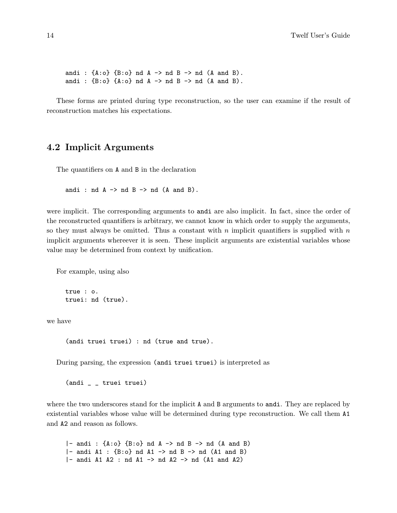andi :  $\{A:o\}$   $\{B:o\}$  nd  $A \rightarrow nd$  B  $\rightarrow nd$   $(A \text{ and } B)$ . andi :  ${B:o}$   ${A:o}$  nd  $A \rightarrow nd$   $B \rightarrow nd$   $(A \text{ and } B)$ .

These forms are printed during type reconstruction, so the user can examine if the result of reconstruction matches his expectations.

# 4.2 Implicit Arguments

The quantifiers on A and B in the declaration

andi : nd  $A \rightarrow nd B \rightarrow nd (A and B)$ .

were implicit. The corresponding arguments to andi are also implicit. In fact, since the order of the reconstructed quantifiers is arbitrary, we cannot know in which order to supply the arguments, so they must always be omitted. Thus a constant with n implicit quantifiers is supplied with  $n$ implicit arguments whereever it is seen. These implicit arguments are existential variables whose value may be determined from context by unification.

For example, using also

```
true : o.
truei: nd (true).
```
we have

```
(andi truei truei) : nd (true and true).
```
During parsing, the expression (andi truei truei) is interpreted as

(andi \_ \_ truei truei)

where the two underscores stand for the implicit A and B arguments to andi. They are replaced by existential variables whose value will be determined during type reconstruction. We call them A1 and A2 and reason as follows.

|- andi :  ${A:o}$   ${B:o}$  nd  $A \rightarrow nd$   $B \rightarrow nd$   $(A \text{ and } B)$  $|-$  andi A1 :  ${B:o}$  nd A1  $\rightarrow$  nd B  $\rightarrow$  nd (A1 and B)  $|-$  andi A1 A2 : nd A1  $\rightarrow$  nd A2  $\rightarrow$  nd (A1 and A2)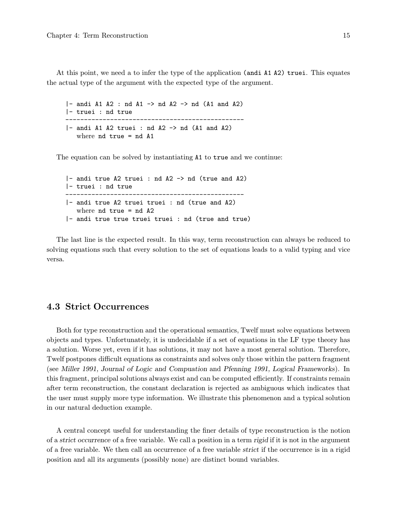At this point, we need a to infer the type of the application (andi A1 A2) truei. This equates the actual type of the argument with the expected type of the argument.

 $|-$  andi A1 A2 : nd A1  $-$ > nd A2  $-$ > nd (A1 and A2) |- truei : nd true ------------------------------------------------  $|-$  andi A1 A2 truei : nd A2  $-$ > nd (A1 and A2) where  $nd$  true =  $nd$   $A1$ 

The equation can be solved by instantiating A1 to true and we continue:

|- andi true A2 truei : nd A2 -> nd (true and A2) |- truei : nd true ------------------------------------------------ |- andi true A2 truei truei : nd (true and A2) where  $nd$  true =  $nd$   $A2$ |- andi true true truei truei : nd (true and true)

The last line is the expected result. In this way, term reconstruction can always be reduced to solving equations such that every solution to the set of equations leads to a valid typing and vice versa.

## 4.3 Strict Occurrences

Both for type reconstruction and the operational semantics, Twelf must solve equations between objects and types. Unfortunately, it is undecidable if a set of equations in the LF type theory has a solution. Worse yet, even if it has solutions, it may not have a most general solution. Therefore, Twelf postpones difficult equations as constraints and solves only those within the pattern fragment (see Miller 1991, Journal of Logic and Compuation and Pfenning 1991, Logical Frameworks). In this fragment, principal solutions always exist and can be computed efficiently. If constraints remain after term reconstruction, the constant declaration is rejected as ambiguous which indicates that the user must supply more type information. We illustrate this phenomenon and a typical solution in our natural deduction example.

A central concept useful for understanding the finer details of type reconstruction is the notion of a strict occurrence of a free variable. We call a position in a term rigid if it is not in the argument of a free variable. We then call an occurrence of a free variable strict if the occurrence is in a rigid position and all its arguments (possibly none) are distinct bound variables.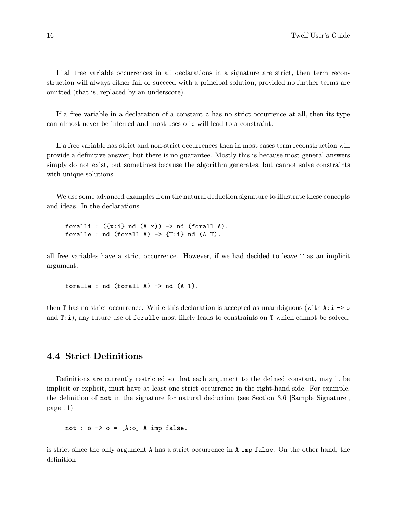If all free variable occurrences in all declarations in a signature are strict, then term reconstruction will always either fail or succeed with a principal solution, provided no further terms are omitted (that is, replaced by an underscore).

If a free variable in a declaration of a constant c has no strict occurrence at all, then its type can almost never be inferred and most uses of c will lead to a constraint.

If a free variable has strict and non-strict occurrences then in most cases term reconstruction will provide a definitive answer, but there is no guarantee. Mostly this is because most general answers simply do not exist, but sometimes because the algorithm generates, but cannot solve constraints with unique solutions.

We use some advanced examples from the natural deduction signature to illustrate these concepts and ideas. In the declarations

foralli :  $({x: i} \text{ and } (A x)) \rightarrow \text{nd}$  (forall A). foralle : nd (forall  $A$ )  $\rightarrow$  {T:i} nd (A T).

all free variables have a strict occurrence. However, if we had decided to leave T as an implicit argument,

foralle :  $nd$  (forall  $A$ )  $\rightarrow$   $nd$   $(A T)$ .

then T has no strict occurrence. While this declaration is accepted as unambiguous (with  $\lambda$ :  $\lambda$  -> o and T:i), any future use of foralle most likely leads to constraints on T which cannot be solved.

## 4.4 Strict Definitions

Definitions are currently restricted so that each argument to the defined constant, may it be implicit or explicit, must have at least one strict occurrence in the right-hand side. For example, the definition of not in the signature for natural deduction (see Section 3.6 [Sample Signature], page 11)

not :  $o \rightarrow o = [A:o]$  A imp false.

is strict since the only argument A has a strict occurrence in A imp false. On the other hand, the definition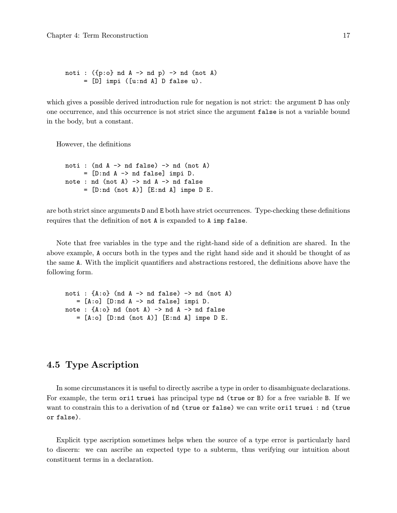```
noti : ({p: o} nd A \rightarrow nd p) \rightarrow nd (not A)= [D] impi ([u:nd A] D false u).
```
which gives a possible derived introduction rule for negation is not strict: the argument D has only one occurrence, and this occurrence is not strict since the argument false is not a variable bound in the body, but a constant.

However, the definitions

```
noti : (nd A \rightarrow nd false) \rightarrow nd (not A)
      = [D:nd A -> nd false] impi D.
note : nd (not A) \rightarrow nd A \rightarrow nd false
      = [D:nd (not A)] [E:nd A] impe D E.
```
are both strict since arguments D and E both have strict occurrences. Type-checking these definitions requires that the definition of not A is expanded to A imp false.

Note that free variables in the type and the right-hand side of a definition are shared. In the above example, A occurs both in the types and the right hand side and it should be thought of as the same A. With the implicit quantifiers and abstractions restored, the definitions above have the following form.

```
noti : {A:o} (nd A \rightarrow nd false) \rightarrow nd (not A)
   = [A:o] [D:nd A \rightarrow nd false] impi D.
note : {A:o} nd (not A) \rightarrow nd A \rightarrow nd false= [A:o] [D:nd (not A)] [E:nd A] impe D E.
```
# 4.5 Type Ascription

In some circumstances it is useful to directly ascribe a type in order to disambiguate declarations. For example, the term ori1 truei has principal type nd (true or B) for a free variable B. If we want to constrain this to a derivation of nd (true or false) we can write ori1 truei : nd (true or false).

Explicit type ascription sometimes helps when the source of a type error is particularly hard to discern: we can ascribe an expected type to a subterm, thus verifying our intuition about constituent terms in a declaration.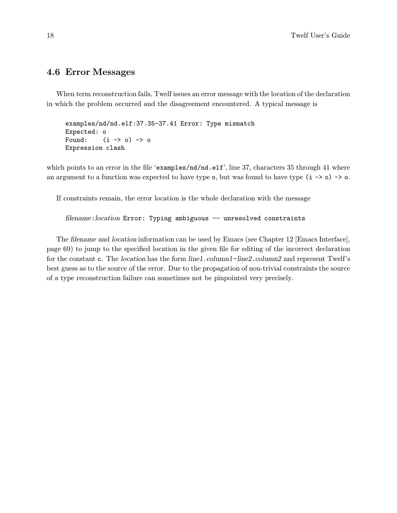## 4.6 Error Messages

When term reconstruction fails, Twelf issues an error message with the location of the declaration in which the problem occurred and the disagreement encountered. A typical message is

```
examples/nd/nd.elf:37.35-37.41 Error: Type mismatch
Expected: o
Found: (i \rightarrow o) \rightarrow oExpression clash
```
which points to an error in the file 'examples/nd/nd.elf', line 37, characters 35 through 41 where an argument to a function was expected to have type  $\circ$ , but was found to have type  $(i \rightarrow \circ) \rightarrow \circ$ .

If constraints remain, the error location is the whole declaration with the message

filename: location Error: Typing ambiguous -- unresolved constraints

The filename and location information can be used by Emacs (see Chapter 12 [Emacs Interface], page 69) to jump to the specified location in the given file for editing of the incorrect declaration for the constant c. The *location* has the form *line1.column1-line2.column2* and represent Twelf's best guess as to the source of the error. Due to the propagation of non-trivial constraints the source of a type reconstruction failure can sometimes not be pinpointed very precisely.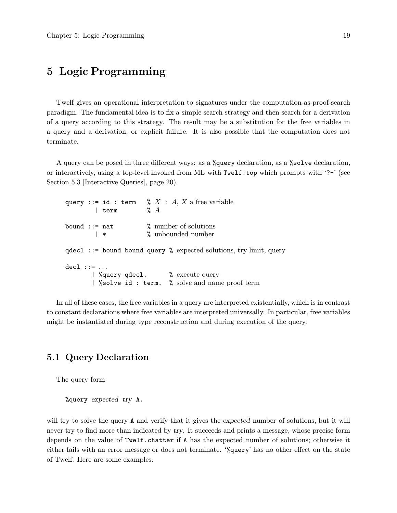# 5 Logic Programming

Twelf gives an operational interpretation to signatures under the computation-as-proof-search paradigm. The fundamental idea is to fix a simple search strategy and then search for a derivation of a query according to this strategy. The result may be a substitution for the free variables in a query and a derivation, or explicit failure. It is also possible that the computation does not terminate.

A query can be posed in three different ways: as a %query declaration, as a %solve declaration, or interactively, using a top-level invoked from ML with Twelf.top which prompts with '?-' (see Section 5.3 [Interactive Queries], page 20).

query ::= id : term %  $X : A, X$  a free variable<br>  $\downarrow$  term %  $A$  $|$  term bound  $::= \text{nat}$  % number of solutions |\* % unbounded number  $q$ decl ::= bound bound query % expected solutions, try limit, query  $dec1 :: = ...$ | %query qdecl. % execute query | %solve id : term. % solve and name proof term

In all of these cases, the free variables in a query are interpreted existentially, which is in contrast to constant declarations where free variables are interpreted universally. In particular, free variables might be instantiated during type reconstruction and during execution of the query.

## 5.1 Query Declaration

The query form

%query expected try A.

will try to solve the query A and verify that it gives the expected number of solutions, but it will never try to find more than indicated by try. It succeeds and prints a message, whose precise form depends on the value of Twelf.chatter if A has the expected number of solutions; otherwise it either fails with an error message or does not terminate. '%query' has no other effect on the state of Twelf. Here are some examples.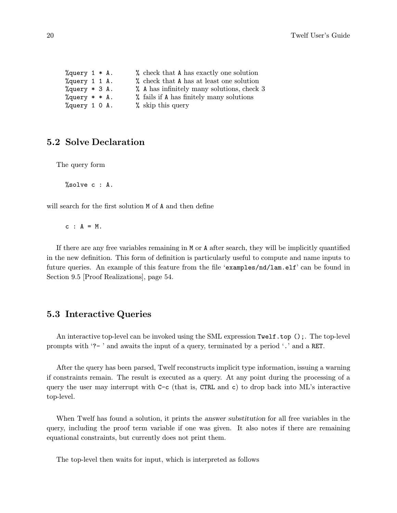| % query $1 * A$ . |  |  | % check that A has exactly one solution    |
|-------------------|--|--|--------------------------------------------|
| %query 1 1 A.     |  |  | % check that A has at least one solution   |
| $\%$ query * 3 A. |  |  | % A has infinitely many solutions, check 3 |
| $\%$ query * * A. |  |  | % fails if A has finitely many solutions   |
| %query 1 0 A.     |  |  | % skip this query                          |

## 5.2 Solve Declaration

The query form

%solve c : A.

will search for the first solution M of A and then define

 $c : A = M$ .

If there are any free variables remaining in M or A after search, they will be implicitly quantified in the new definition. This form of definition is particularly useful to compute and name inputs to future queries. An example of this feature from the file 'examples/nd/lam.elf' can be found in Section 9.5 [Proof Realizations], page 54.

## 5.3 Interactive Queries

An interactive top-level can be invoked using the SML expression Twelf.top ();. The top-level prompts with '?- ' and awaits the input of a query, terminated by a period '.' and a RET.

After the query has been parsed, Twelf reconstructs implicit type information, issuing a warning if constraints remain. The result is executed as a query. At any point during the processing of a query the user may interrupt with  $C-c$  (that is, CTRL and c) to drop back into ML's interactive top-level.

When Twelf has found a solution, it prints the answer substitution for all free variables in the query, including the proof term variable if one was given. It also notes if there are remaining equational constraints, but currently does not print them.

The top-level then waits for input, which is interpreted as follows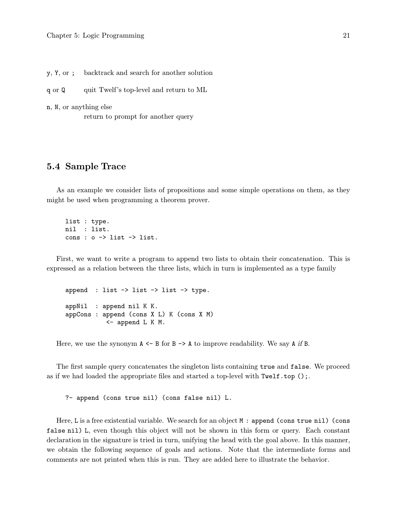y, Y, or ; backtrack and search for another solution

q or Q quit Twelf's top-level and return to ML

n, N, or anything else return to prompt for another query

#### 5.4 Sample Trace

As an example we consider lists of propositions and some simple operations on them, as they might be used when programming a theorem prover.

list : type. nil : list. cons :  $o \rightarrow$  list  $\rightarrow$  list.

First, we want to write a program to append two lists to obtain their concatenation. This is expressed as a relation between the three lists, which in turn is implemented as a type family

append : list  $\rightarrow$  list  $\rightarrow$  list  $\rightarrow$  type. appNil : append nil K K. appCons : append (cons X L) K (cons X M) <- append L K M.

Here, we use the synonym  $A \leq B$  for  $B \geq A$  to improve readability. We say A if B.

The first sample query concatenates the singleton lists containing true and false. We proceed as if we had loaded the appropriate files and started a top-level with  $Twelf.top();$ .

?- append (cons true nil) (cons false nil) L.

Here, L is a free existential variable. We search for an object M : append (cons true nil) (cons false nil) L, even though this object will not be shown in this form or query. Each constant declaration in the signature is tried in turn, unifying the head with the goal above. In this manner, we obtain the following sequence of goals and actions. Note that the intermediate forms and comments are not printed when this is run. They are added here to illustrate the behavior.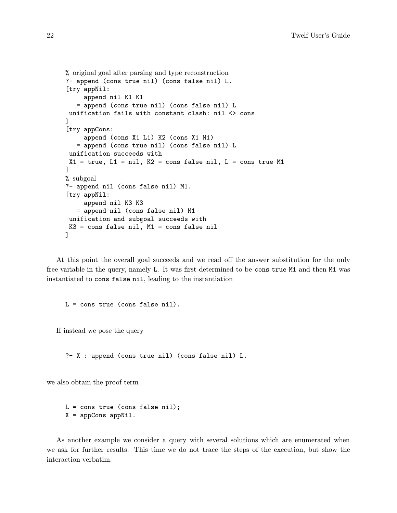```
% original goal after parsing and type reconstruction
?- append (cons true nil) (cons false nil) L.
[try appNil:
     append nil K1 K1
   = append (cons true nil) (cons false nil) L
 unification fails with constant clash: nil <> cons
]
[try appCons:
     append (cons X1 L1) K2 (cons X1 M1)
   = append (cons true nil) (cons false nil) L
 unification succeeds with
 X1 = true, L1 = nil, K2 = const false nil, L = const true M1
]
% subgoal
?- append nil (cons false nil) M1.
[try appNil:
     append nil K3 K3
   = append nil (cons false nil) M1
 unification and subgoal succeeds with
K3 = cons false nil, M1 = cons false nil
]
```
At this point the overall goal succeeds and we read off the answer substitution for the only free variable in the query, namely L. It was first determined to be cons true M1 and then M1 was instantiated to cons false nil, leading to the instantiation

 $L = const$  true (cons false nil).

If instead we pose the query

?- X : append (cons true nil) (cons false nil) L.

we also obtain the proof term

 $L = const$  true (cons false nil); X = appCons appNil.

As another example we consider a query with several solutions which are enumerated when we ask for further results. This time we do not trace the steps of the execution, but show the interaction verbatim.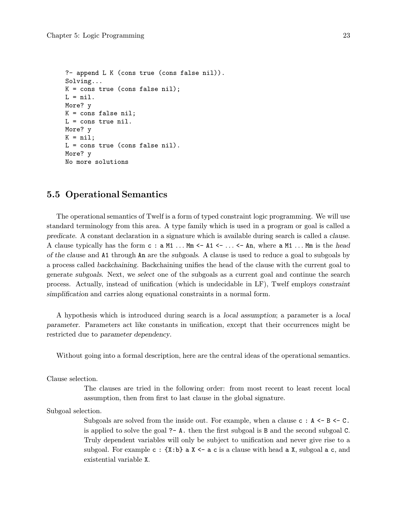```
?- append L K (cons true (cons false nil)).
Solving...
K = \text{cons true} (cons false nil);
L = nil.More? y
K = cons false nil;
L = const true nil.
More? y
K = nil;L = cons true (cons false nil).
More? y
No more solutions
```
## 5.5 Operational Semantics

The operational semantics of Twelf is a form of typed constraint logic programming. We will use standard terminology from this area. A type family which is used in a program or goal is called a predicate. A constant declaration in a signature which is available during search is called a clause. A clause typically has the form  $c : a M1 ... Mm \leftarrow A1 \leftarrow ... \leftarrow An$ , where  $a M1 ... Mm$  is the head of the clause and A1 through An are the subgoals. A clause is used to reduce a goal to subgoals by a process called backchaining. Backchaining unifies the head of the clause with the current goal to generate subgoals. Next, we select one of the subgoals as a current goal and continue the search process. Actually, instead of unification (which is undecidable in LF), Twelf employs constraint simplification and carries along equational constraints in a normal form.

A hypothesis which is introduced during search is a local assumption; a parameter is a local parameter. Parameters act like constants in unification, except that their occurrences might be restricted due to parameter dependency.

Without going into a formal description, here are the central ideas of the operational semantics.

Clause selection.

The clauses are tried in the following order: from most recent to least recent local assumption, then from first to last clause in the global signature.

Subgoal selection.

Subgoals are solved from the inside out. For example, when a clause  $c : A \leftarrow B \leftarrow C$ . is applied to solve the goal ?- A. then the first subgoal is B and the second subgoal C. Truly dependent variables will only be subject to unification and never give rise to a subgoal. For example  $c : \{X:b\}$  a  $X \leftarrow a$  c is a clause with head a X, subgoal a c, and existential variable X.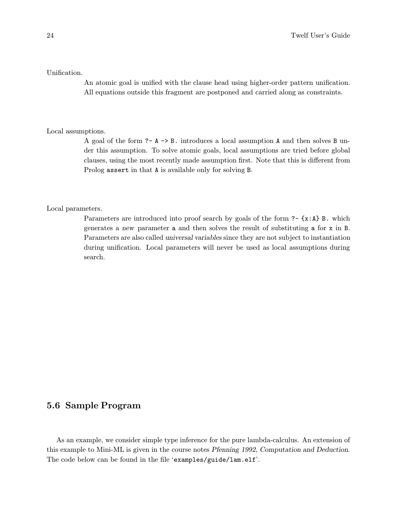#### Unification.

An atomic goal is unified with the clause head using higher-order pattern unification. All equations outside this fragment are postponed and carried along as constraints.

#### Local assumptions.

A goal of the form  $? - A \rightarrow B$ . introduces a local assumption A and then solves B under this assumption. To solve atomic goals, local assumptions are tried before global clauses, using the most recently made assumption first. Note that this is different from Prolog assert in that A is available only for solving B.

#### Local parameters.

Parameters are introduced into proof search by goals of the form  $? - \{x : A\}$  B. which generates a new parameter a and then solves the result of substituting a for x in B. Parameters are also called universal variables since they are not subject to instantiation during unification. Local parameters will never be used as local assumptions during search.

## 5.6 Sample Program

As an example, we consider simple type inference for the pure lambda-calculus. An extension of this example to Mini-ML is given in the course notes Pfenning 1992, Computation and Deduction. The code below can be found in the file 'examples/guide/lam.elf'.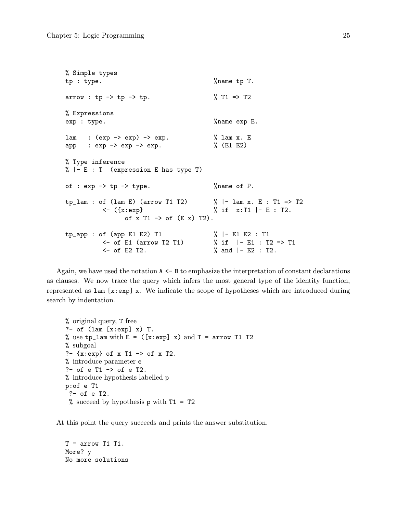```
% Simple types
tp : type. \gamma %name tp T.
arrow : tp \rightarrow tp \rightarrow tp. \% T1 => T2
% Expressions
exp : type. \%name exp E.
lam : (exp \rightarrow exp) \rightarrow exp. \% lam x. E
app : \exp -> \exp -> \exp. \% (E1 E2)
% Type inference
% |- E : T (expression E has type T)
of : \exp -> \text{tp} -> \text{type}. \frac{1}{2} \frac{1}{2} \frac{1}{2} \frac{1}{2} \frac{1}{2} \frac{1}{2} \frac{1}{2} \frac{1}{2} \frac{1}{2} \frac{1}{2} \frac{1}{2} \frac{1}{2} \frac{1}{2} \frac{1}{2} \frac{1}{2} \frac{1}{2} \frac{1}{2} \frac{1}{2} \frac{1}{2}tp\_lam : of (lam E) (arrow T1 T2) % | - lam x. E : T1 => T2\langle ({x:exp} \angle ) if x:T1 |- E : T2.
                   of x T1 \rightarrow of (E \times) T2).
tp_app : of (app E1 E2) T1 % |- E1 E2 : T1
           <- of E1 (arrow T2 T1) % if |- E1 : T2 => T1
           <- of E2 T2. % and |- E2 : T2.
```
Again, we have used the notation  $A \leq B$  to emphasize the interpretation of constant declarations as clauses. We now trace the query which infers the most general type of the identity function, represented as lam [x:exp] x. We indicate the scope of hypotheses which are introduced during search by indentation.

```
% original query, T free
?- of (lam [x:exp] x) T.
% use tp_1am with E = (x:exp] x and T = arrow T1 T2% subgoal
?- {x:exp} of x T1 -> of x T2.
% introduce parameter e
?- of e T1 -> of e T2.
% introduce hypothesis labelled p
p:of e T1
 ?- of e T2.
 % succeed by hypothesis p with T1 = T2
```
At this point the query succeeds and prints the answer substitution.

 $T = \arrow T1$  T1. More? y No more solutions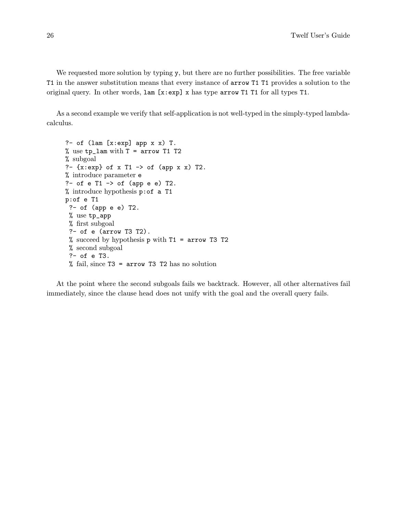We requested more solution by typing y, but there are no further possibilities. The free variable T1 in the answer substitution means that every instance of arrow T1 T1 provides a solution to the original query. In other words, lam [x:exp] x has type arrow T1 T1 for all types T1.

As a second example we verify that self-application is not well-typed in the simply-typed lambdacalculus.

```
?- of (\text{lam } [x:\text{exp}] app x \times) T.
% use tp_lam with T = arrow T1 T2
% subgoal
?- \{x: \exp\} of x T1 -> of \p x x) T2.
% introduce parameter e
?- of e T1 -> of (app e e) T2.
% introduce hypothesis p:of a T1
p:of e T1
 ?- of (app e e) T2.
 % use tp_app
 % first subgoal
 ?- of e (arrow T3 T2).
 % succeed by hypothesis p with T1 = arrow T3 T2
 % second subgoal
 ?- of e T3.
 % fail, since T3 = arrow T3 T2 has no solution
```
At the point where the second subgoals fails we backtrack. However, all other alternatives fail immediately, since the clause head does not unify with the goal and the overall query fails.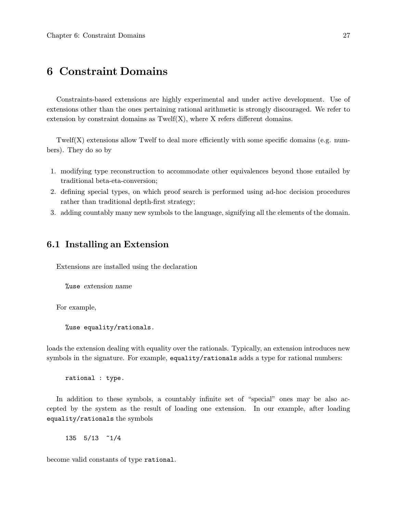# 6 Constraint Domains

Constraints-based extensions are highly experimental and under active development. Use of extensions other than the ones pertaining rational arithmetic is strongly discouraged. We refer to extension by constraint domains as  $Twelf(X)$ , where X refers different domains.

Twelf(X) extensions allow Twelf to deal more efficiently with some specific domains (e.g. numbers). They do so by

- 1. modifying type reconstruction to accommodate other equivalences beyond those entailed by traditional beta-eta-conversion;
- 2. defining special types, on which proof search is performed using ad-hoc decision procedures rather than traditional depth-first strategy;
- 3. adding countably many new symbols to the language, signifying all the elements of the domain.

## 6.1 Installing an Extension

Extensions are installed using the declaration

%use extension name

For example,

%use equality/rationals.

loads the extension dealing with equality over the rationals. Typically, an extension introduces new symbols in the signature. For example, equality/rationals adds a type for rational numbers:

rational : type.

In addition to these symbols, a countably infinite set of "special" ones may be also accepted by the system as the result of loading one extension. In our example, after loading equality/rationals the symbols

135 5/13 ~1/4

become valid constants of type rational.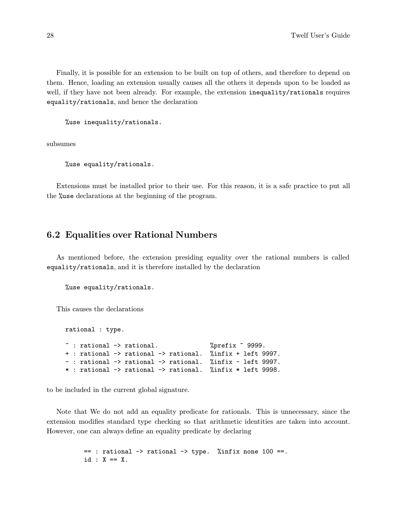Finally, it is possible for an extension to be built on top of others, and therefore to depend on them. Hence, loading an extension usually causes all the others it depends upon to be loaded as well, if they have not been already. For example, the extension inequality/rationals requires equality/rationals, and hence the declaration

%use inequality/rationals.

subsumes

%use equality/rationals.

Extensions must be installed prior to their use. For this reason, it is a safe practice to put all the %use declarations at the beginning of the program.

## 6.2 Equalities over Rational Numbers

As mentioned before, the extension presiding equality over the rational numbers is called equality/rationals, and it is therefore installed by the declaration

%use equality/rationals.

This causes the declarations

rational : type.  $\tilde{ }$  : rational  $\rightarrow$  rational.  $\gamma$  /prefix  $\tilde{ }$  9999. + : rational -> rational -> rational. %infix + left 9997. - : rational -> rational -> rational. %infix - left 9997. \* : rational -> rational -> rational. %infix \* left 9998.

to be included in the current global signature.

Note that We do not add an equality predicate for rationals. This is unnecessary, since the extension modifies standard type checking so that arithmetic identities are taken into account. However, one can always define an equality predicate by declaring

> == : rational -> rational -> type. %infix none 100 ==. id :  $X == X$ .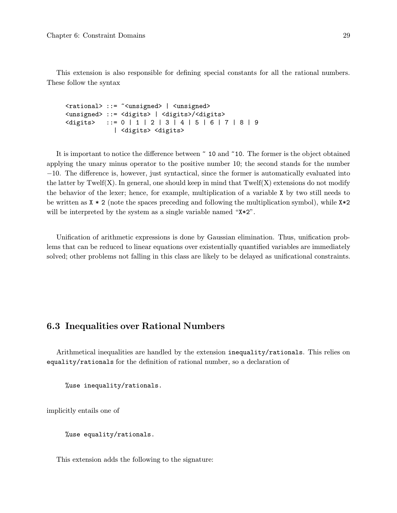This extension is also responsible for defining special constants for all the rational numbers. These follow the syntax

<rational> ::= ~<unsigned> | <unsigned> <unsigned> ::= <digits> | <digits>/<digits>  $\langle \text{digits} \rangle$  ::= 0 | 1 | 2 | 3 | 4 | 5 | 6 | 7 | 8 | 9 | <digits> <digits>

It is important to notice the difference between ~ 10 and ~10. The former is the object obtained applying the unary minus operator to the positive number 10; the second stands for the number −10. The difference is, however, just syntactical, since the former is automatically evaluated into the latter by Twelf(X). In general, one should keep in mind that  $Twelf(X)$  extensions do not modify the behavior of the lexer; hence, for example, multiplication of a variable X by two still needs to be written as  $X * 2$  (note the spaces preceding and following the multiplication symbol), while  $X * 2$ will be interpreted by the system as a single variable named " $x \cdot 2$ ".

Unification of arithmetic expressions is done by Gaussian elimination. Thus, unification problems that can be reduced to linear equations over existentially quantified variables are immediately solved; other problems not falling in this class are likely to be delayed as unificational constraints.

## 6.3 Inequalities over Rational Numbers

Arithmetical inequalities are handled by the extension inequality/rationals. This relies on equality/rationals for the definition of rational number, so a declaration of

%use inequality/rationals.

implicitly entails one of

%use equality/rationals.

This extension adds the following to the signature: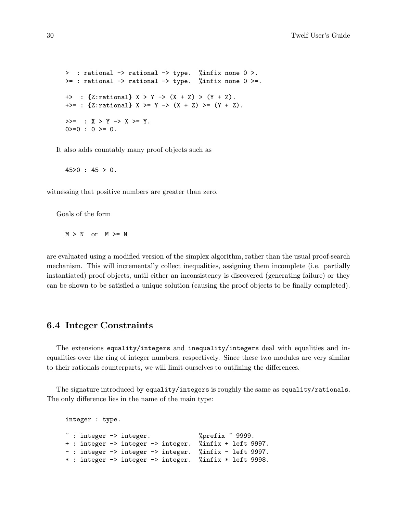> : rational -> rational -> type. %infix none 0 >.  $>=$  : rational  $\rightarrow$  rational  $\rightarrow$  type. %infix none 0  $>=$ . +> : {Z:rational}  $X > Y$  ->  $(X + Z) > (Y + Z)$ . +>= : {Z:rational}  $X$  >=  $Y$  ->  $(X + Z)$  >=  $(Y + Z)$ .  $>>=$  :  $X > Y \rightarrow X > = Y$ .  $0>=0$  :  $0>=0$ .

It also adds countably many proof objects such as

45>0 : 45 > 0.

witnessing that positive numbers are greater than zero.

Goals of the form

 $M > N$  or  $M \geq N$ 

are evaluated using a modified version of the simplex algorithm, rather than the usual proof-search mechanism. This will incrementally collect inequalities, assigning them incomplete (i.e. partially instantiated) proof objects, until either an inconsistency is discovered (generating failure) or they can be shown to be satisfied a unique solution (causing the proof objects to be finally completed).

## 6.4 Integer Constraints

The extensions equality/integers and inequality/integers deal with equalities and inequalities over the ring of integer numbers, respectively. Since these two modules are very similar to their rationals counterparts, we will limit ourselves to outlining the differences.

The signature introduced by equality/integers is roughly the same as equality/rationals. The only difference lies in the name of the main type:

integer : type.  $\tilde{ }$  : integer -> integer.  $\gamma$  %prefix  $\tilde{ }$  9999. + : integer -> integer -> integer. %infix + left 9997. - : integer -> integer -> integer. %infix - left 9997. \* : integer -> integer -> integer. %infix \* left 9998.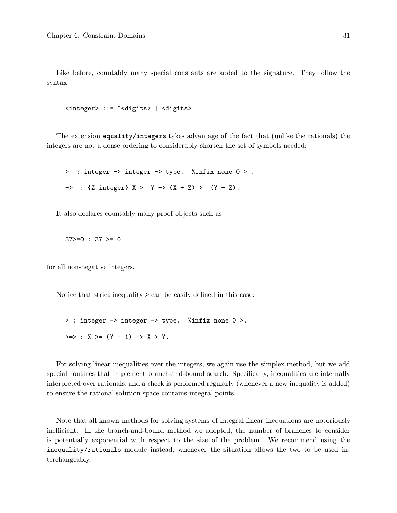Like before, countably many special constants are added to the signature. They follow the syntax

```
<integer> ::= ~<digits> | <digits>
```
The extension equality/integers takes advantage of the fact that (unlike the rationals) the integers are not a dense ordering to considerably shorten the set of symbols needed:

 $>=$  : integer  $\rightarrow$  integer  $\rightarrow$  type. %infix none 0  $>=$ . +>= : {Z:integer} X >= Y -> (X + Z) >= (Y + Z).

It also declares countably many proof objects such as

 $37>=0$  :  $37>=0$ .

for all non-negative integers.

Notice that strict inequality > can be easily defined in this case:

> : integer -> integer -> type. %infix none 0 >.  $>>$  : X  $>=$  (Y + 1) -> X > Y.

For solving linear inequalities over the integers, we again use the simplex method, but we add special routines that implement branch-and-bound search. Specifically, inequalities are internally interpreted over rationals, and a check is performed regularly (whenever a new inequality is added) to ensure the rational solution space contains integral points.

Note that all known methods for solving systems of integral linear inequations are notoriously inefficient. In the branch-and-bound method we adopted, the number of branches to consider is potentially exponential with respect to the size of the problem. We recommend using the inequality/rationals module instead, whenever the situation allows the two to be used interchangeably.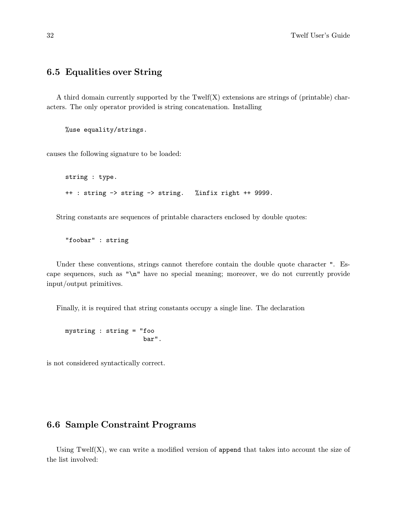# 6.5 Equalities over String

A third domain currently supported by the  $Twelf(X)$  extensions are strings of (printable) characters. The only operator provided is string concatenation. Installing

%use equality/strings.

causes the following signature to be loaded:

```
string : type.
++ : string -> string -> string. %infix right ++ 9999.
```
String constants are sequences of printable characters enclosed by double quotes:

"foobar" : string

Under these conventions, strings cannot therefore contain the double quote character ". Escape sequences, such as "\n" have no special meaning; moreover, we do not currently provide input/output primitives.

Finally, it is required that string constants occupy a single line. The declaration

mystring : string = "foo bar".

is not considered syntactically correct.

# 6.6 Sample Constraint Programs

Using Twelf $(X)$ , we can write a modified version of append that takes into account the size of the list involved: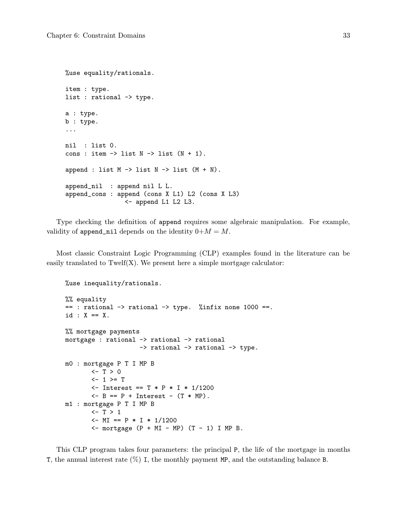```
%use equality/rationals.
item : type.
list : rational -> type.
a : type.
b : type.
...
nil : list 0.
cons : item \rightarrow list N \rightarrow list (N + 1).
append : list M \rightarrow list N \rightarrow list (M + N).
append_nil : append nil L L.
append_cons : append (cons X L1) L2 (cons X L3)
                  <- append L1 L2 L3.
```
Type checking the definition of append requires some algebraic manipulation. For example, validity of append\_nil depends on the identity  $0+M = M$ .

Most classic Constraint Logic Programming (CLP) examples found in the literature can be easily translated to  $Twelf(X)$ . We present here a simple mortgage calculator:

```
%use inequality/rationals.
%% equality
== : rational \rightarrow rational \rightarrow type. %infix none 1000 ==.
id : X == X.
%% mortgage payments
mortgage : rational -> rational -> rational
                    -> rational -> rational -> type.
m0 : mortgage P T I MP B
       <-T>0<-1>=T<- Interest == T * P*I* 1/1200
       <- B == P + Interest - (T * MP).
m1 : mortgage P T I MP B
       <-T>1<- MI == P * I * 1/1200
       \le - mortgage (P + MI - MP) (T - 1) I MP B.
```
This CLP program takes four parameters: the principal P, the life of the mortgage in months T, the annual interest rate  $(\%)$  I, the monthly payment MP, and the outstanding balance B.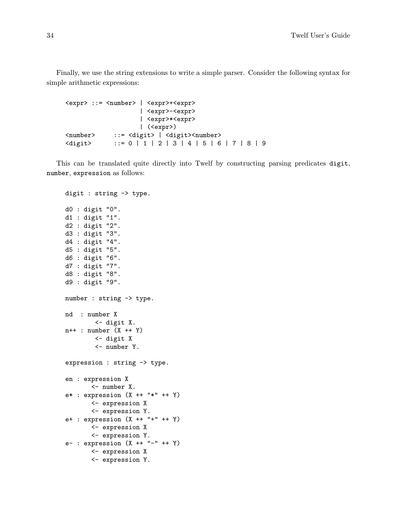Finally, we use the string extensions to write a simple parser. Consider the following syntax for simple arithmetic expressions:

```
<expr> ::= <number> | <expr>+<expr>
                 | <expr>-<expr>
                 | <expr>*<expr>
                 | (<expr>)
<number> ::= <digit> | <digit><number>
<digit> ::= 0 |1|2|3|4|5|6|7|8|9
```
This can be translated quite directly into Twelf by constructing parsing predicates digit, number, expression as follows:

```
digit : string -> type.
d0 : digit "0".
d1 : digit "1".
d2 : digit "2".
d3 : digit "3".
d4 : digit "4".
d5 : digit "5".
d6 : digit "6".
d7 : digit "7".
d8 : digit "8".
d9 : digit "9".
number : string -> type.
nd : number X
        <- digit X.
n++ : number (X ++ Y)
        <- digit X
        <- number Y.
expression : string -> type.
en : expression X
       <- number X.
e* : expression (X ++ "*" ++ Y)
       <- expression X
       <- expression Y.
e+ : expression (X ++ "+" ++ Y)
       <- expression X
       <- expression Y.
e- : expression (X ++ "-" ++ Y)
       <- expression X
       <- expression Y.
```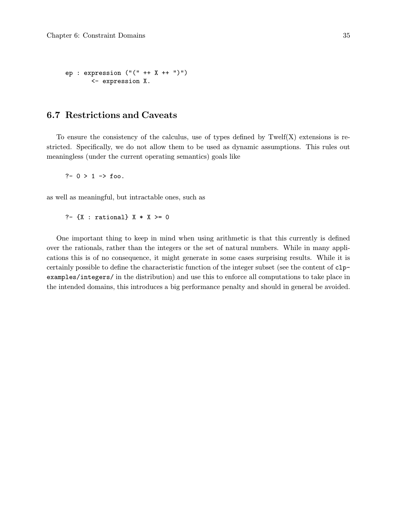```
ep : expression ("(" ++ X ++ ")")
       <- expression X.
```
## 6.7 Restrictions and Caveats

To ensure the consistency of the calculus, use of types defined by  $Twelf(X)$  extensions is restricted. Specifically, we do not allow them to be used as dynamic assumptions. This rules out meaningless (under the current operating semantics) goals like

?-  $0 > 1$  -> foo.

as well as meaningful, but intractable ones, such as

?-  ${X :$  rational}  $X * X > = 0$ 

One important thing to keep in mind when using arithmetic is that this currently is defined over the rationals, rather than the integers or the set of natural numbers. While in many applications this is of no consequence, it might generate in some cases surprising results. While it is certainly possible to define the characteristic function of the integer subset (see the content of clpexamples/integers/ in the distribution) and use this to enforce all computations to take place in the intended domains, this introduces a big performance penalty and should in general be avoided.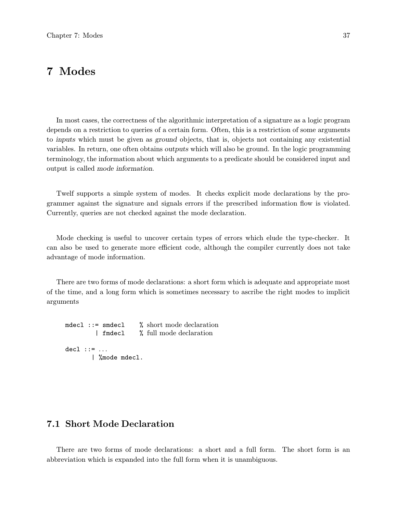## 7 Modes

In most cases, the correctness of the algorithmic interpretation of a signature as a logic program depends on a restriction to queries of a certain form. Often, this is a restriction of some arguments to inputs which must be given as ground objects, that is, objects not containing any existential variables. In return, one often obtains outputs which will also be ground. In the logic programming terminology, the information about which arguments to a predicate should be considered input and output is called mode information.

Twelf supports a simple system of modes. It checks explicit mode declarations by the programmer against the signature and signals errors if the prescribed information flow is violated. Currently, queries are not checked against the mode declaration.

Mode checking is useful to uncover certain types of errors which elude the type-checker. It can also be used to generate more efficient code, although the compiler currently does not take advantage of mode information.

There are two forms of mode declarations: a short form which is adequate and appropriate most of the time, and a long form which is sometimes necessary to ascribe the right modes to implicit arguments

```
mdecl ::= smdecl % short mode declaration
        | fmdecl % full mode declaration
dec1 :: = ...| %mode mdecl.
```
## 7.1 Short Mode Declaration

There are two forms of mode declarations: a short and a full form. The short form is an abbreviation which is expanded into the full form when it is unambiguous.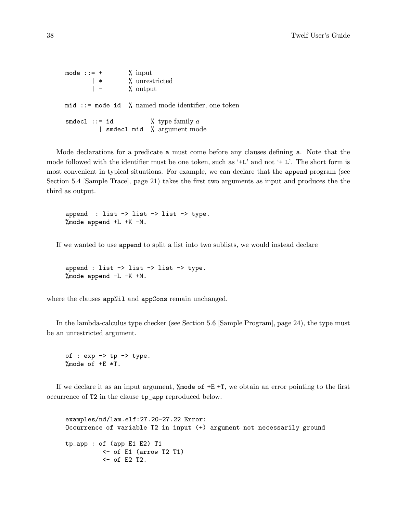mode  $\cdots = +$  % input  $|\cdot|$  % unrestricted<br> $|\cdot|$  % output  $%$  output mid ::= mode id % named mode identifier, one token smdecl ::= id  $\%$  type family a | smdecl mid % argument mode

Mode declarations for a predicate a must come before any clauses defining a. Note that the mode followed with the identifier must be one token, such as '+L' and not '+ L'. The short form is most convenient in typical situations. For example, we can declare that the append program (see Section 5.4 [Sample Trace], page 21) takes the first two arguments as input and produces the the third as output.

append : list  $\rightarrow$  list  $\rightarrow$  list  $\rightarrow$  type. %mode append +L +K -M.

If we wanted to use append to split a list into two sublists, we would instead declare

append : list  $\rightarrow$  list  $\rightarrow$  list  $\rightarrow$  type. %mode append -L -K +M.

where the clauses appNil and appCons remain unchanged.

In the lambda-calculus type checker (see Section 5.6 [Sample Program], page 24), the type must be an unrestricted argument.

of :  $exp \rightarrow tp \rightarrow type$ . %mode of +E \*T.

If we declare it as an input argument, %mode of +E +T, we obtain an error pointing to the first occurrence of T2 in the clause tp\_app reproduced below.

examples/nd/lam.elf:27.20-27.22 Error: Occurrence of variable T2 in input (+) argument not necessarily ground tp\_app : of (app E1 E2) T1 <- of E1 (arrow T2 T1)  $<-$  of E2 T2.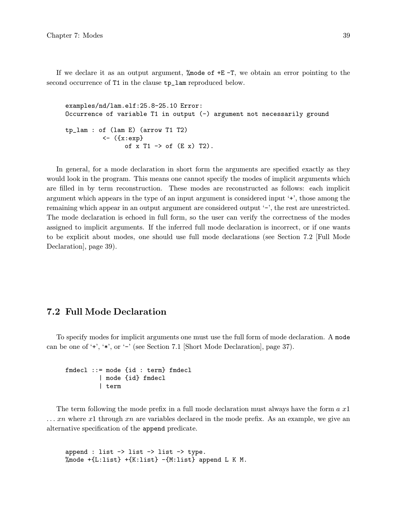If we declare it as an output argument,  $\%$  node of  $+E$  -T, we obtain an error pointing to the second occurrence of T1 in the clause  $tp_1$ lam reproduced below.

examples/nd/lam.elf:25.8-25.10 Error: Occurrence of variable T1 in output (-) argument not necessarily ground tp\_lam : of (lam E) (arrow T1 T2) <- ({x:exp} of  $x$  T1  $\rightarrow$  of  $(E \times)$  T2).

In general, for a mode declaration in short form the arguments are specified exactly as they would look in the program. This means one cannot specify the modes of implicit arguments which are filled in by term reconstruction. These modes are reconstructed as follows: each implicit argument which appears in the type of an input argument is considered input '+', those among the remaining which appear in an output argument are considered output '-', the rest are unrestricted. The mode declaration is echoed in full form, so the user can verify the correctness of the modes assigned to implicit arguments. If the inferred full mode declaration is incorrect, or if one wants to be explicit about modes, one should use full mode declarations (see Section 7.2 [Full Mode Declaration], page 39).

## 7.2 Full Mode Declaration

To specify modes for implicit arguments one must use the full form of mode declaration. A mode can be one of '+', '\*', or '-' (see Section 7.1 [Short Mode Declaration], page 37).

```
fmdecl ::= mode {id : term} fmdecl
         | mode {id} fmdecl
         | term
```
The term following the mode prefix in a full mode declaration must always have the form  $a\ x1$  $\ldots$  xn where x1 through xn are variables declared in the mode prefix. As an example, we give an alternative specification of the append predicate.

append : list -> list -> list -> type. %mode  $+[L:list] + {K:list} - {M:list}$  append L K M.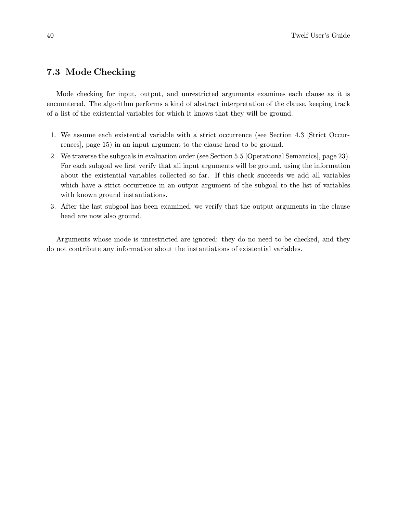## 7.3 Mode Checking

Mode checking for input, output, and unrestricted arguments examines each clause as it is encountered. The algorithm performs a kind of abstract interpretation of the clause, keeping track of a list of the existential variables for which it knows that they will be ground.

- 1. We assume each existential variable with a strict occurrence (see Section 4.3 [Strict Occurrences], page 15) in an input argument to the clause head to be ground.
- 2. We traverse the subgoals in evaluation order (see Section 5.5 [Operational Semantics], page 23). For each subgoal we first verify that all input arguments will be ground, using the information about the existential variables collected so far. If this check succeeds we add all variables which have a strict occurrence in an output argument of the subgoal to the list of variables with known ground instantiations.
- 3. After the last subgoal has been examined, we verify that the output arguments in the clause head are now also ground.

Arguments whose mode is unrestricted are ignored: they do no need to be checked, and they do not contribute any information about the instantiations of existential variables.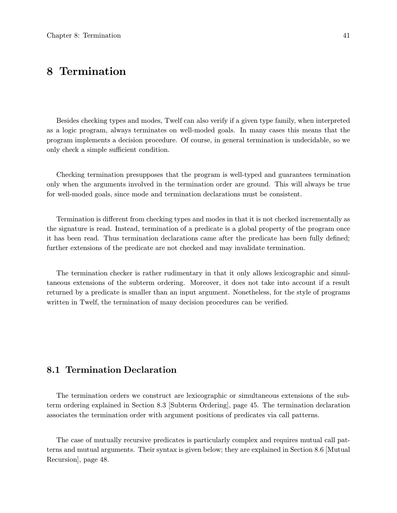# 8 Termination

Besides checking types and modes, Twelf can also verify if a given type family, when interpreted as a logic program, always terminates on well-moded goals. In many cases this means that the program implements a decision procedure. Of course, in general termination is undecidable, so we only check a simple sufficient condition.

Checking termination presupposes that the program is well-typed and guarantees termination only when the arguments involved in the termination order are ground. This will always be true for well-moded goals, since mode and termination declarations must be consistent.

Termination is different from checking types and modes in that it is not checked incrementally as the signature is read. Instead, termination of a predicate is a global property of the program once it has been read. Thus termination declarations came after the predicate has been fully defined; further extensions of the predicate are not checked and may invalidate termination.

The termination checker is rather rudimentary in that it only allows lexicographic and simultaneous extensions of the subterm ordering. Moreover, it does not take into account if a result returned by a predicate is smaller than an input argument. Nonetheless, for the style of programs written in Twelf, the termination of many decision procedures can be verified.

## 8.1 Termination Declaration

The termination orders we construct are lexicographic or simultaneous extensions of the subterm ordering explained in Section 8.3 [Subterm Ordering], page 45. The termination declaration associates the termination order with argument positions of predicates via call patterns.

The case of mutually recursive predicates is particularly complex and requires mutual call patterns and mutual arguments. Their syntax is given below; they are explained in Section 8.6 [Mutual Recursion], page 48.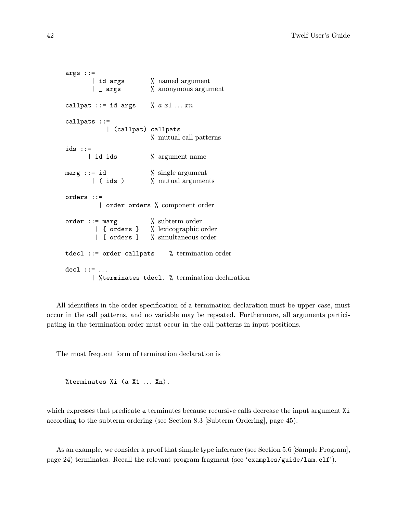```
args ::=
       | id args % named argument<br>| _ args % anonymous argu
                        % anonymous argument
callpat ::= id args \% a x1 \ldots xncallpats ::=
           | (callpat) callpats
                        % mutual call patterns
ids ::=
      | id ids \% argument name
marg  ::= \text{id} % single argument
       | ( ids ) % mutual arguments
orders ::=
         | order orders % component order
order ::= marg % subterm order
        | { orders } % lexicographic order
        | [ orders ] % simultaneous order
tdecl ::= order callpats % termination order
del ::: : ...| %terminates tdecl. % termination declaration
```
All identifiers in the order specification of a termination declaration must be upper case, must occur in the call patterns, and no variable may be repeated. Furthermore, all arguments participating in the termination order must occur in the call patterns in input positions.

The most frequent form of termination declaration is

%terminates Xi (a X1 ... Xn).

which expresses that predicate a terminates because recursive calls decrease the input argument Xi according to the subterm ordering (see Section 8.3 [Subterm Ordering], page 45).

As an example, we consider a proof that simple type inference (see Section 5.6 [Sample Program], page 24) terminates. Recall the relevant program fragment (see 'examples/guide/lam.elf').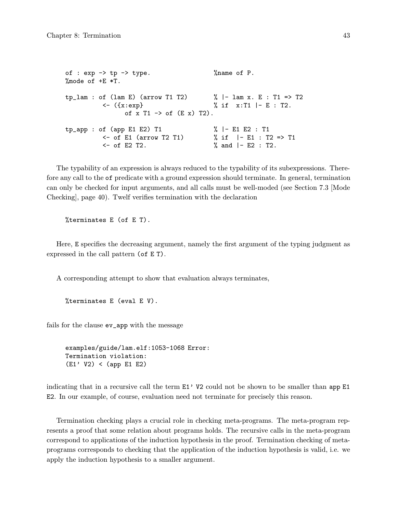of :  $\exp$  ->  $\text{tp}$  ->  $\text{type}$ .  $\%$  name of P.  $\text{\%mode of +E *T.}$  $tp\_lam : of (lam E) (arrow T1 T2)$  % | -  $lam x. E : T1 \Rightarrow T2$  $\langle \text{f} \times \text{f} \times \text{f} \times \text{f} \times \text{f} \times \text{f} \times \text{f} \times \text{f} \times \text{f} \times \text{f} \times \text{f} \times \text{f} \times \text{f} \times \text{f} \times \text{f} \times \text{f} \times \text{f} \times \text{f} \times \text{f} \times \text{f} \times \text{f} \times \text{f} \times \text{f} \times \text{f} \times \text{f} \times \text{f} \times \text{f} \times \text{f} \times \text{f} \times \text{f} \times \text{f} \times \$ of  $x$  T1  $\rightarrow$  of  $(E x)$  T2).  $tp_{app}$  : of (app E1 E2) T1  $\frac{1}{1}$   $\frac{1}{1}$  E1 E2 : T1 <- of E1 (arrow T2 T1) % if |- E1 : T2 => T1 <- of E2 T2. % and |- E2 : T2.

The typability of an expression is always reduced to the typability of its subexpressions. Therefore any call to the of predicate with a ground expression should terminate. In general, termination can only be checked for input arguments, and all calls must be well-moded (see Section 7.3 [Mode Checking], page 40). Twelf verifies termination with the declaration

%terminates E (of E T).

Here, E specifies the decreasing argument, namely the first argument of the typing judgment as expressed in the call pattern (of E T).

A corresponding attempt to show that evaluation always terminates,

```
%terminates E (eval E V).
```
fails for the clause ev\_app with the message

```
examples/guide/lam.elf:1053-1068 Error:
Termination violation:
(E1' V2) < (app E1 E2)
```
indicating that in a recursive call the term  $E1'$  V2 could not be shown to be smaller than app  $E1$ E2. In our example, of course, evaluation need not terminate for precisely this reason.

Termination checking plays a crucial role in checking meta-programs. The meta-program represents a proof that some relation about programs holds. The recursive calls in the meta-program correspond to applications of the induction hypothesis in the proof. Termination checking of metaprograms corresponds to checking that the application of the induction hypothesis is valid, i.e. we apply the induction hypothesis to a smaller argument.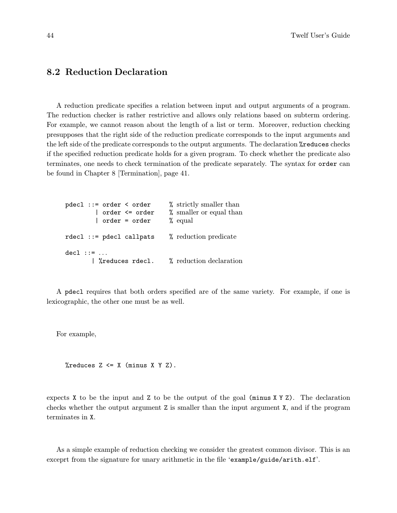## 8.2 Reduction Declaration

A reduction predicate specifies a relation between input and output arguments of a program. The reduction checker is rather restrictive and allows only relations based on subterm ordering. For example, we cannot reason about the length of a list or term. Moreover, reduction checking presupposes that the right side of the reduction predicate corresponds to the input arguments and the left side of the predicate corresponds to the output arguments. The declaration %reduces checks if the specified reduction predicate holds for a given program. To check whether the predicate also terminates, one needs to check termination of the predicate separately. The syntax for order can be found in Chapter 8 [Termination], page 41.

```
pdecl ::= order < order % strictly smaller than
       | order <= order % smaller or equal than
        | order = order % equal
rdecl ::= pdecl callpats % reduction predicate
dec1 :: = ...| %reduces rdecl. % reduction declaration
```
A pdecl requires that both orders specified are of the same variety. For example, if one is lexicographic, the other one must be as well.

For example,

 $\%$ reduces Z <= X (minus X Y Z).

expects  $X$  to be the input and  $Z$  to be the output of the goal (minus  $X$   $Y$   $Z$ ). The declaration checks whether the output argument Z is smaller than the input argument X, and if the program terminates in X.

As a simple example of reduction checking we consider the greatest common divisor. This is an exceprt from the signature for unary arithmetic in the file 'example/guide/arith.elf'.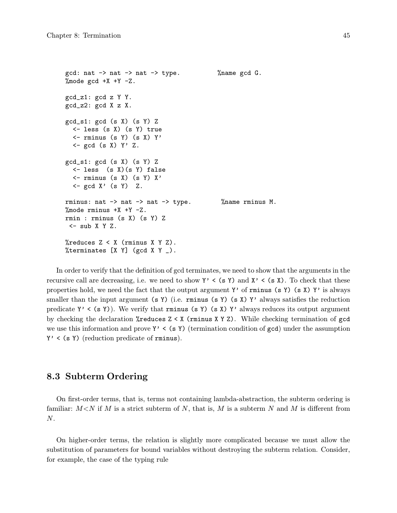```
gcd: nat \rightarrow nat \rightarrow nat \rightarrow type. \gamma % name gcd G.
% mode gcd +X +Y -Z.
gcd_z1: gcd z Y Y.
gcd_z2: gcd X z X.
gcd_s1: gcd(s X) (s Y) Z
  <- less (s X) (s Y) true
  \le - rminus (s Y) (s X) Y'
  \leq gcd (s X) Y' Z.
gcd_s1: gcd(s X) (s Y) Z
  <- less (s X)(s Y) false
  \leftarrow rminus (s X) (s Y) X'
  \leq gcd X' (s Y) Z.
rminus: nat -> nat -> nat -> type. %name rminus M.
% mode rminus +X +Y -Z.
rmin : rminus (s X) (s Y) Z
 <- sub X Y Z.
%reduces Z < X (rminus X Y Z).
%terminates [X Y] (gcd X Y _).
```
In order to verify that the definition of gcd terminates, we need to show that the arguments in the recursive call are decreasing, i.e. we need to show  $Y' \leq (s \ Y)$  and  $X' \leq (s \ X)$ . To check that these properties hold, we need the fact that the output argument Y' of rminus (s Y) (s X) Y' is always smaller than the input argument (s Y) (i.e. rminus (s Y) (s X) Y' always satisfies the reduction predicate  $Y'$  < (s Y)). We verify that rminus (s Y) (s X)  $Y'$  always reduces its output argument by checking the declaration  $\lambda$ reduces  $Z \leq X$  (rminus  $X \leq Y$ ). While checking termination of gcd we use this information and prove  $Y' < (s Y)$  (termination condition of gcd) under the assumption  $Y'$  < (s Y) (reduction predicate of rminus).

### 8.3 Subterm Ordering

On first-order terms, that is, terms not containing lambda-abstraction, the subterm ordering is familiar:  $M \le N$  if M is a strict subterm of N, that is, M is a subterm N and M is different from  $N$ .

On higher-order terms, the relation is slightly more complicated because we must allow the substitution of parameters for bound variables without destroying the subterm relation. Consider, for example, the case of the typing rule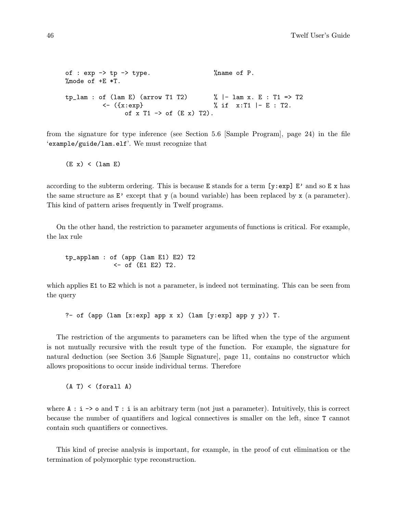```
of : \exp -> \text{tp} -> \text{type}. \% name of P.
\text{\%mode of +E *T.}tp\_lam : of (lam E) (arrow T1 T2) % | - lam x. E : T1 \Rightarrow T2\langle \cdot | {\{x:exp\}} \rangle % if x:T1 |- E : T2.
                  of x T1 \rightarrow of (E \times) T2).
```
from the signature for type inference (see Section 5.6 [Sample Program], page 24) in the file 'example/guide/lam.elf'. We must recognize that

```
(E x) < (lam E)
```
according to the subterm ordering. This is because E stands for a term  $[y:exp]$  E' and so E x has the same structure as E' except that y (a bound variable) has been replaced by x (a parameter). This kind of pattern arises frequently in Twelf programs.

On the other hand, the restriction to parameter arguments of functions is critical. For example, the lax rule

tp\_applam : of (app (lam E1) E2) T2 <- of (E1 E2) T2.

which applies E1 to E2 which is not a parameter, is indeed not terminating. This can be seen from the query

?- of (app (lam [x:exp] app x x) (lam [y:exp] app y y)) T.

The restriction of the arguments to parameters can be lifted when the type of the argument is not mutually recursive with the result type of the function. For example, the signature for natural deduction (see Section 3.6 [Sample Signature], page 11, contains no constructor which allows propositions to occur inside individual terms. Therefore

 $(A T) < (for all A)$ 

where  $A : i \rightarrow o$  and  $T : i$  is an arbitrary term (not just a parameter). Intuitively, this is correct because the number of quantifiers and logical connectives is smaller on the left, since T cannot contain such quantifiers or connectives.

This kind of precise analysis is important, for example, in the proof of cut elimination or the termination of polymorphic type reconstruction.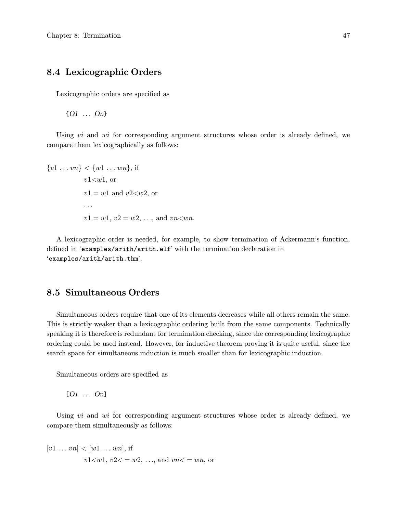## 8.4 Lexicographic Orders

Lexicographic orders are specified as

{O1 ... On}

Using  $vi$  and  $wi$  for corresponding argument structures whose order is already defined, we compare them lexicographically as follows:

 $\{v1 \ldots vn\} < \{w1 \ldots wn\}$ , if  $v1 \lt w1$ , or  $v1 = w1$  and  $v2 \lt w2$ , or ...  $v1 = w1, v2 = w2, \ldots$ , and  $vn \ltimes wn$ .

A lexicographic order is needed, for example, to show termination of Ackermann's function, defined in 'examples/arith/arith.elf' with the termination declaration in 'examples/arith/arith.thm'.

## 8.5 Simultaneous Orders

Simultaneous orders require that one of its elements decreases while all others remain the same. This is strictly weaker than a lexicographic ordering built from the same components. Technically speaking it is therefore is redundant for termination checking, since the corresponding lexicographic ordering could be used instead. However, for inductive theorem proving it is quite useful, since the search space for simultaneous induction is much smaller than for lexicographic induction.

Simultaneous orders are specified as

 $[O1 \ldots On]$ 

Using  $vi$  and  $wi$  for corresponding argument structures whose order is already defined, we compare them simultaneously as follows:

 $[v1 \dots vn] < [w1 \dots wn]$ , if  $v1 \le w1, v2 \le w2, \ldots$ , and  $vn \le wn$ , or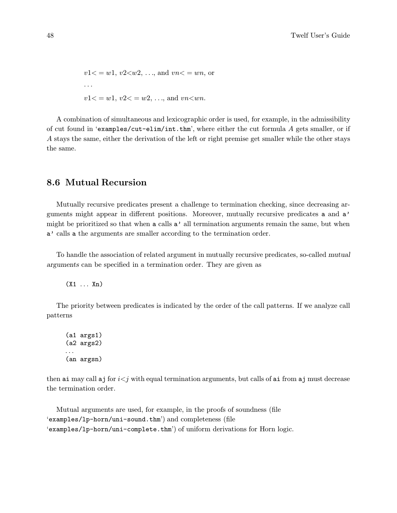$v1 \leq w1, v2 \leq w2, \ldots$ , and  $vn \leq wn$ , or ...  $v1 \leq w1, v2 \leq w2, \ldots$ , and  $vn \leq wn$ .

A combination of simultaneous and lexicographic order is used, for example, in the admissibility of cut found in 'examples/cut-elim/int.thm', where either the cut formula A gets smaller, or if A stays the same, either the derivation of the left or right premise get smaller while the other stays the same.

## 8.6 Mutual Recursion

Mutually recursive predicates present a challenge to termination checking, since decreasing arguments might appear in different positions. Moreover, mutually recursive predicates a and a' might be prioritized so that when a calls a' all termination arguments remain the same, but when a' calls a the arguments are smaller according to the termination order.

To handle the association of related argument in mutually recursive predicates, so-called mutual arguments can be specified in a termination order. They are given as

(X1 ... Xn)

The priority between predicates is indicated by the order of the call patterns. If we analyze call patterns

(a1 args1) (a2 args2) ... (an argsn)

then ai may call a j for  $i < j$  with equal termination arguments, but calls of ai from a j must decrease the termination order.

Mutual arguments are used, for example, in the proofs of soundness (file 'examples/lp-horn/uni-sound.thm') and completeness (file 'examples/lp-horn/uni-complete.thm') of uniform derivations for Horn logic.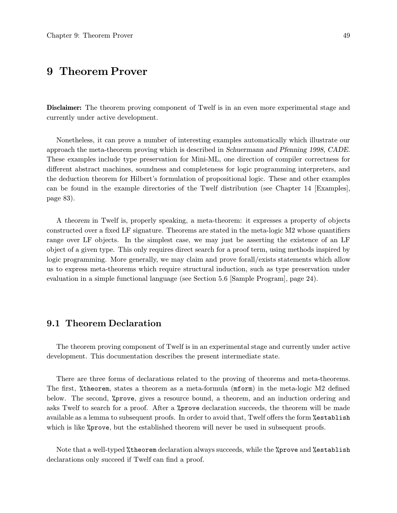# 9 Theorem Prover

Disclaimer: The theorem proving component of Twelf is in an even more experimental stage and currently under active development.

Nonetheless, it can prove a number of interesting examples automatically which illustrate our approach the meta-theorem proving which is described in Schuermann and Pfenning 1998, CADE. These examples include type preservation for Mini-ML, one direction of compiler correctness for different abstract machines, soundness and completeness for logic programming interpreters, and the deduction theorem for Hilbert's formulation of propositional logic. These and other examples can be found in the example directories of the Twelf distribution (see Chapter 14 [Examples], page 83).

A theorem in Twelf is, properly speaking, a meta-theorem: it expresses a property of objects constructed over a fixed LF signature. Theorems are stated in the meta-logic M2 whose quantifiers range over LF objects. In the simplest case, we may just be asserting the existence of an LF object of a given type. This only requires direct search for a proof term, using methods inspired by logic programming. More generally, we may claim and prove forall/exists statements which allow us to express meta-theorems which require structural induction, such as type preservation under evaluation in a simple functional language (see Section 5.6 [Sample Program], page 24).

### 9.1 Theorem Declaration

The theorem proving component of Twelf is in an experimental stage and currently under active development. This documentation describes the present intermediate state.

There are three forms of declarations related to the proving of theorems and meta-theorems. The first, %theorem, states a theorem as a meta-formula (mform) in the meta-logic M2 defined below. The second, %prove, gives a resource bound, a theorem, and an induction ordering and asks Twelf to search for a proof. After a %prove declaration succeeds, the theorem will be made available as a lemma to subsequent proofs. In order to avoid that, Twelf offers the form %establish which is like *\**prove, but the established theorem will never be used in subsequent proofs.

Note that a well-typed %theorem declaration always succeeds, while the %prove and %establish declarations only succeed if Twelf can find a proof.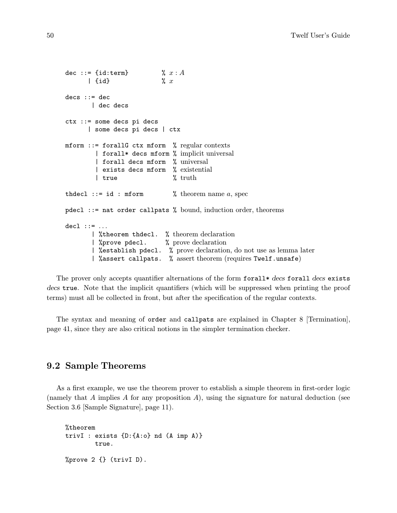```
dec ::= {id:term} \% x:A\left| \right| {id} \% xdecs :: = dec| dec decs
ctx ::= some decs pi decs
      | some decs pi decs | ctx
mform ::= forallG ctx mform % regular contexts
        | forall* decs mform % implicit universal
        | forall decs mform % universal
        | exists decs mform % existential
        | true % truth
thdecl ::= id : mform % theorem name a, spec
pdecl ::= nat order callpats % bound, induction order, theorems
del :: = ...| %theorem thdecl. % theorem declaration
       | %prove pdecl. % prove declaration
       | %establish pdecl. % prove declaration, do not use as lemma later
       | %assert callpats. % assert theorem (requires Twelf.unsafe)
```
The prover only accepts quantifier alternations of the form forall  $\star$  decs forall decs exists decs true. Note that the implicit quantifiers (which will be suppressed when printing the proof terms) must all be collected in front, but after the specification of the regular contexts.

The syntax and meaning of order and callpats are explained in Chapter 8 [Termination], page 41, since they are also critical notions in the simpler termination checker.

## 9.2 Sample Theorems

As a first example, we use the theorem prover to establish a simple theorem in first-order logic (namely that A implies A for any proposition A), using the signature for natural deduction (see Section 3.6 [Sample Signature], page 11).

```
%theorem
trivI : exists {D:{A:o} nd (A imp A)}
        true.
%prove 2 {} (trivI D).
```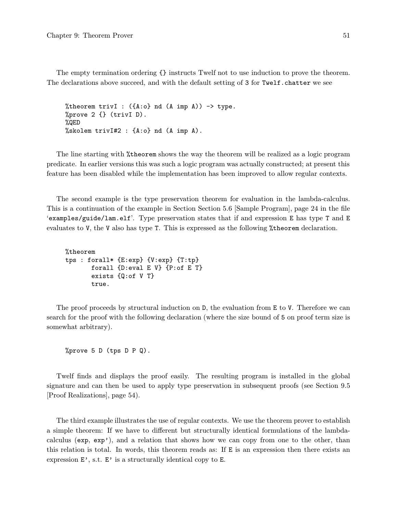The empty termination ordering {} instructs Twelf not to use induction to prove the theorem. The declarations above succeed, and with the default setting of 3 for Twelf.chatter we see

```
%theorem trivI : ({A:\circ} nd (A \text{ imp } A)) \rightarrow \text{type}.%prove 2 {} (trivI D).
%QED
%skolem trivI#2 : {A:o} nd (A imp A).
```
The line starting with %theorem shows the way the theorem will be realized as a logic program predicate. In earlier versions this was such a logic program was actually constructed; at present this feature has been disabled while the implementation has been improved to allow regular contexts.

The second example is the type preservation theorem for evaluation in the lambda-calculus. This is a continuation of the example in Section Section 5.6 [Sample Program], page 24 in the file 'examples/guide/lam.elf'. Type preservation states that if and expression E has type T and E evaluates to V, the V also has type T. This is expressed as the following %theorem declaration.

```
%theorem
tps : forall* {E:exp} {V:exp} {T:tp}
       forall {D:eval E V} {P:of E T}
       exists {Q:of V T}
       true.
```
The proof proceeds by structural induction on D, the evaluation from E to V. Therefore we can search for the proof with the following declaration (where the size bound of 5 on proof term size is somewhat arbitrary).

```
%prove 5 D (tps D P Q).
```
Twelf finds and displays the proof easily. The resulting program is installed in the global signature and can then be used to apply type preservation in subsequent proofs (see Section 9.5 [Proof Realizations], page 54).

The third example illustrates the use of regular contexts. We use the theorem prover to establish a simple theorem: If we have to different but structurally identical formulations of the lambdacalculus (exp, exp'), and a relation that shows how we can copy from one to the other, than this relation is total. In words, this theorem reads as: If E is an expression then there exists an expression  $E'$ , s.t.  $E'$  is a structurally identical copy to  $E$ .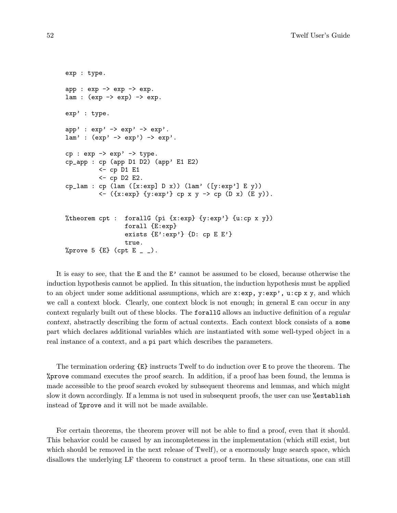```
exp : type.
app : exp \rightarrow exp \rightarrow exp.lam: (exp -> exp) \rightarrow exp.exp' : type.
app' : exp' -> exp' -> exp'.
lam' : (exp' \rightarrow exp') \rightarrow exp'.cp : exp \rightarrow exp' \rightarrow type.cp_app : cp (app D1 D2) (app' E1 E2)
          <- cp D1 E1
          <- cp D2 E2.
cp_llam : cp (lam ([x:exp] D x)) (lam' ([y:exp'] E y))
          \leftarrow ({x:exp} {y:exp'} cp x y -> cp (D x) (E y)).
%theorem cpt : forallG (pi {x:exp} {y:exp'} {u:cp x y})
                   forall {E:exp}
                  exists {E':exp'} {D:cp E E'}true.
%prove 5 \{E\} (cpt E _{-}).
```
It is easy to see, that the E and the E' cannot be assumed to be closed, because otherwise the induction hypothesis cannot be applied. In this situation, the induction hypothesis must be applied to an object under some additional assumptions, which are  $x:exp$ ,  $y:exp'$ ,  $u:cp x y$ , and which we call a context block. Clearly, one context block is not enough; in general E can occur in any context regularly built out of these blocks. The forallG allows an inductive definition of a regular context, abstractly describing the form of actual contexts. Each context block consists of a some part which declares additional variables which are instantiated with some well-typed object in a real instance of a context, and a pi part which describes the parameters.

The termination ordering {E} instructs Twelf to do induction over E to prove the theorem. The %prove command executes the proof search. In addition, if a proof has been found, the lemma is made accessible to the proof search evoked by subsequent theorems and lemmas, and which might slow it down accordingly. If a lemma is not used in subsequent proofs, the user can use %establish instead of %prove and it will not be made available.

For certain theorems, the theorem prover will not be able to find a proof, even that it should. This behavior could be caused by an incompleteness in the implementation (which still exist, but which should be removed in the next release of Twelf), or a enormously huge search space, which disallows the underlying LF theorem to construct a proof term. In these situations, one can still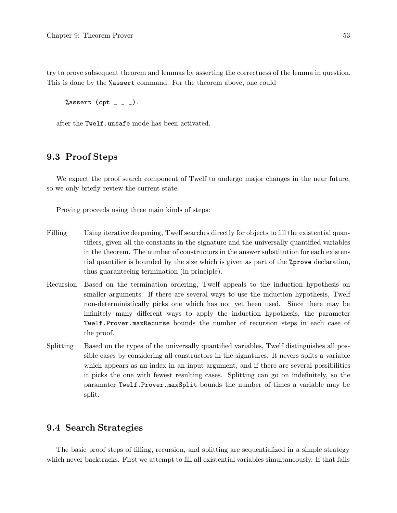try to prove subsequent theorem and lemmas by asserting the correctness of the lemma in question. This is done by the %assert command. For the theorem above, one could

```
%assert (cpt _{-} _{-} _{-}).
```
after the Twelf.unsafe mode has been activated.

## 9.3 Proof Steps

We expect the proof search component of Twelf to undergo major changes in the near future, so we only briefly review the current state.

Proving proceeds using three main kinds of steps:

- Filling Using iterative deepening, Twelf searches directly for objects to fill the existential quantifiers, given all the constants in the signature and the universally quantified variables in the theorem. The number of constructors in the answer substitution for each existential quantifier is bounded by the size which is given as part of the %prove declaration, thus guaranteeing termination (in principle).
- Recursion Based on the termination ordering, Twelf appeals to the induction hypothesis on smaller arguments. If there are several ways to use the induction hypothesis, Twelf non-deterministically picks one which has not yet been used. Since there may be infinitely many different ways to apply the induction hypothesis, the parameter Twelf.Prover.maxRecurse bounds the number of recursion steps in each case of the proof.
- Splitting Based on the types of the universally quantified variables, Twelf distinguishes all possible cases by considering all constructors in the signatures. It nevers splits a variable which appears as an index in an input argument, and if there are several possibilities it picks the one with fewest resulting cases. Splitting can go on indefinitely, so the paramater Twelf.Prover.maxSplit bounds the number of times a variable may be split.

### 9.4 Search Strategies

The basic proof steps of filling, recursion, and splitting are sequentialized in a simple strategy which never backtracks. First we attempt to fill all existential variables simultaneously. If that fails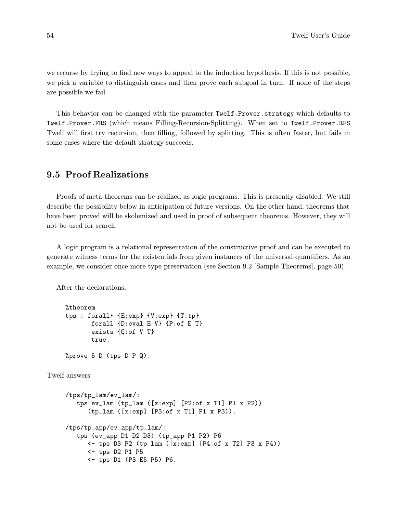we recurse by trying to find new ways to appeal to the induction hypothesis. If this is not possible, we pick a variable to distinguish cases and then prove each subgoal in turn. If none of the steps are possible we fail.

This behavior can be changed with the parameter Twelf.Prover.strategy which defaults to Twelf.Prover.FRS (which means Filling-Recursion-Splitting). When set to Twelf.Prover.RFS Twelf will first try recursion, then filling, followed by splitting. This is often faster, but fails in some cases where the default strategy succeeds.

## 9.5 Proof Realizations

Proofs of meta-theorems can be realized as logic programs. This is presently disabled. We still describe the possibility below in anticipation of future versions. On the other hand, theorems that have been proved will be skolemized and used in proof of subsequent theorems. However, they will not be used for search.

A logic program is a relational representation of the constructive proof and can be executed to generate witness terms for the existentials from given instances of the universal quantifiers. As an example, we consider once more type preservation (see Section 9.2 [Sample Theorems], page 50).

After the declarations,

```
%theorem
tps : forall* {E:exp} {V:exp} {T:tp}
       forall {D:eval E V} {P:of E T}
       exists {Q:of V T}
       true.
%prove 5 D (tps D P Q).
```
Twelf answers

```
/tps/tp_lam/ev_lam/:
   tps ev_lam (tp_lam ([x:exp] [P2:of x T1] P1 x P2))
      (tp_lam ([x:exp] [P3:of x T1] P1 x P3)).
/tps/tp_app/ev_app/tp_lam/:
   tps (ev_app D1 D2 D3) (tp_app P1 P2) P6
      <- tps D3 P2 (tp_lam ([x:exp] [P4:of x T2] P3 x P4))
      <- tps D2 P1 P5
      <- tps D1 (P3 E5 P5) P6.
```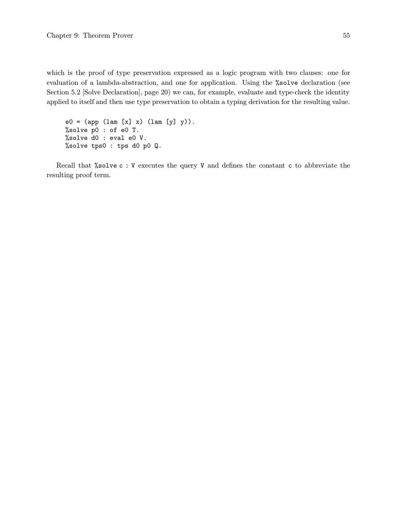which is the proof of type preservation expressed as a logic program with two clauses: one for evaluation of a lambda-abstraction, and one for application. Using the %solve declaration (see Section 5.2 [Solve Declaration], page 20) we can, for example, evaluate and type-check the identity applied to itself and then use type preservation to obtain a typing derivation for the resulting value.

 $e0 = (app (lam [x] x) (lam [y] y)).$ %solve p0 : of e0 T. %solve d0 : eval e0 V. %solve tps0 : tps d0 p0 Q.

Recall that %solve c : V executes the query V and defines the constant c to abbreviate the resulting proof term.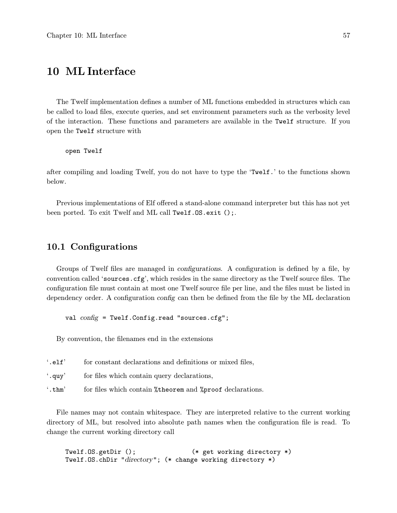# 10 ML Interface

The Twelf implementation defines a number of ML functions embedded in structures which can be called to load files, execute queries, and set environment parameters such as the verbosity level of the interaction. These functions and parameters are available in the Twelf structure. If you open the Twelf structure with

open Twelf

after compiling and loading Twelf, you do not have to type the 'Twelf.' to the functions shown below.

Previous implementations of Elf offered a stand-alone command interpreter but this has not yet been ported. To exit Twelf and ML call Twelf.OS.exit ();.

### 10.1 Configurations

Groups of Twelf files are managed in configurations. A configuration is defined by a file, by convention called 'sources.cfg', which resides in the same directory as the Twelf source files. The configuration file must contain at most one Twelf source file per line, and the files must be listed in dependency order. A configuration config can then be defined from the file by the ML declaration

val  $config$  = Twelf.Config.read "sources.cfg";

By convention, the filenames end in the extensions

| $\lq$ .elf'   | for constant declarations and definitions or mixed files,          |
|---------------|--------------------------------------------------------------------|
| $\lq$ . quy'  | for files which contain query declarations,                        |
| $\cdot$ .thm' | for files which contain <i>*</i> theorem and * proof declarations. |

File names may not contain whitespace. They are interpreted relative to the current working directory of ML, but resolved into absolute path names when the configuration file is read. To change the current working directory call

Twelf.OS.getDir (); (\* get working directory \*) Twelf.OS.chDir "directory"; (\* change working directory \*)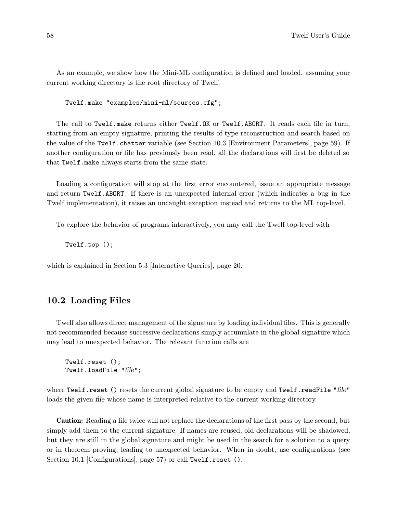As an example, we show how the Mini-ML configuration is defined and loaded, assuming your current working directory is the root directory of Twelf.

Twelf.make "examples/mini-ml/sources.cfg";

The call to Twelf.make returns either Twelf.OK or Twelf.ABORT. It reads each file in turn, starting from an empty signature, printing the results of type reconstruction and search based on the value of the Twelf.chatter variable (see Section 10.3 [Environment Parameters], page 59). If another configuration or file has previously been read, all the declarations will first be deleted so that Twelf.make always starts from the same state.

Loading a configuration will stop at the first error encountered, issue an appropriate message and return Twelf.ABORT. If there is an unexpected internal error (which indicates a bug in the Twelf implementation), it raises an uncaught exception instead and returns to the ML top-level.

To explore the behavior of programs interactively, you may call the Twelf top-level with

Twelf.top ();

which is explained in Section 5.3 [Interactive Queries], page 20.

## 10.2 Loading Files

Twelf also allows direct management of the signature by loading individual files. This is generally not recommended because successive declarations simply accumulate in the global signature which may lead to unexpected behavior. The relevant function calls are

Twelf.reset (); Twelf.loadFile "file";

where Twelf.reset () resets the current global signature to be empty and Twelf.readFile "file" loads the given file whose name is interpreted relative to the current working directory.

Caution: Reading a file twice will not replace the declarations of the first pass by the second, but simply add them to the current signature. If names are reused, old declarations will be shadowed, but they are still in the global signature and might be used in the search for a solution to a query or in theorem proving, leading to unexpected behavior. When in doubt, use configurations (see Section 10.1 [Configurations], page 57) or call Twelf.reset ().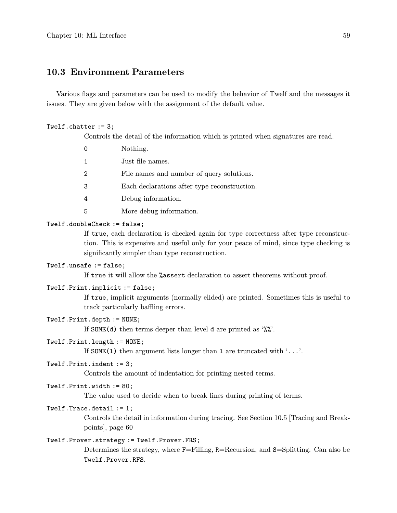## 10.3 Environment Parameters

Various flags and parameters can be used to modify the behavior of Twelf and the messages it issues. They are given below with the assignment of the default value.

#### Twelf.chatter := 3;

Controls the detail of the information which is printed when signatures are read.

| $\Omega$      | Nothing.                                     |
|---------------|----------------------------------------------|
| $\mathbf 1$   | Just file names.                             |
| $\mathcal{D}$ | File names and number of query solutions.    |
| 3             | Each declarations after type reconstruction. |
| 4             | Debug information.                           |
| .5            | More debug information.                      |

### Twelf.doubleCheck := false;

If true, each declaration is checked again for type correctness after type reconstruction. This is expensive and useful only for your peace of mind, since type checking is significantly simpler than type reconstruction.

### Twelf.unsafe := false;

If true it will allow the %assert declaration to assert theorems without proof.

### Twelf.Print.implicit := false;

If true, implicit arguments (normally elided) are printed. Sometimes this is useful to track particularly baffling errors.

### Twelf.Print.depth := NONE;

If SOME(d) then terms deeper than level d are printed as  $\mathscr{W}'$ .

### Twelf.Print.length := NONE;

If SOME(1) then argument lists longer than 1 are truncated with  $\ldots$ .

#### Twelf.Print.indent := 3;

Controls the amount of indentation for printing nested terms.

#### Twelf.Print.width := 80;

The value used to decide when to break lines during printing of terms.

### Twelf.Trace.detail := 1;

Controls the detail in information during tracing. See Section 10.5 [Tracing and Breakpoints], page 60

### Twelf.Prover.strategy := Twelf.Prover.FRS;

Determines the strategy, where F=Filling, R=Recursion, and S=Splitting. Can also be Twelf.Prover.RFS.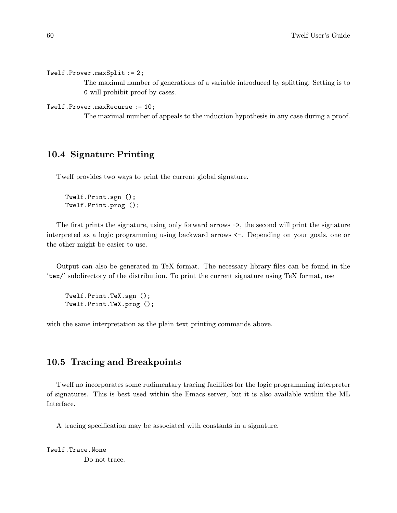Twelf.Prover.maxSplit := 2;

The maximal number of generations of a variable introduced by splitting. Setting is to 0 will prohibit proof by cases.

```
Twelf.Prover.maxRecurse := 10;
```
The maximal number of appeals to the induction hypothesis in any case during a proof.

## 10.4 Signature Printing

Twelf provides two ways to print the current global signature.

Twelf.Print.sgn (); Twelf.Print.prog ();

The first prints the signature, using only forward arrows ->, the second will print the signature interpreted as a logic programming using backward arrows <-. Depending on your goals, one or the other might be easier to use.

Output can also be generated in TeX format. The necessary library files can be found in the 'tex/' subdirectory of the distribution. To print the current signature using TeX format, use

Twelf.Print.TeX.sgn (); Twelf.Print.TeX.prog ();

with the same interpretation as the plain text printing commands above.

## 10.5 Tracing and Breakpoints

Twelf no incorporates some rudimentary tracing facilities for the logic programming interpreter of signatures. This is best used within the Emacs server, but it is also available within the ML Interface.

A tracing specification may be associated with constants in a signature.

Twelf.Trace.None Do not trace.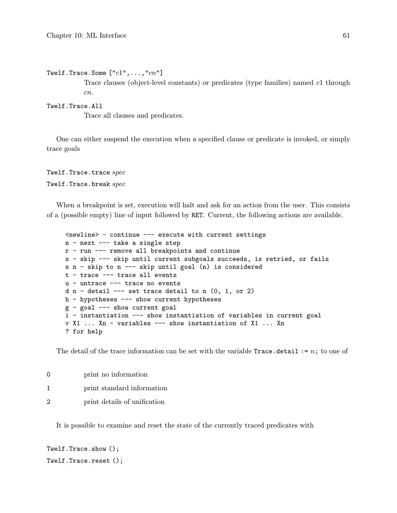```
Twelf.Trace.Some ["c1", \ldots, "cn"]
```
Trace clauses (object-level constants) or predicates (type families) named c1 through cn.

### Twelf.Trace.All

Trace all clauses and predicates.

One can either suspend the execution when a specified clause or predicate is invoked, or simply trace goals

Twelf.Trace.trace spec Twelf.Trace.break spec

When a breakpoint is set, execution will halt and ask for an action from the user. This consists of a (possible empty) line of input followed by RET. Current, the following actions are available.

```
<newline> - continue --- execute with current settings
n - next --- take a single step
r - run --- remove all breakpoints and continue
s - skip --- skip until current subgoals succeeds, is retried, or fails
s n - skip to n --- skip until goal (n) is considered
t - trace --- trace all events
u - untrace --- trace no events
d n - detail --- set trace detail to n (0, 1, or 2)h - hypotheses --- show current hypotheses
g - goal --- show current goal
i - instantiation --- show instantiation of variables in current goal
v X1 ... Xn - variables --- show instantiation of X1 ... Xn
? for help
```
The detail of the trace information can be set with the variable  $Trace$ . detail := n; to one of

| 0 | print no information         |
|---|------------------------------|
|   | print standard information   |
| 2 | print details of unification |

It is possible to examine and reset the state of the currently traced predicates with

```
Twelf.Trace.show ();
Twelf.Trace.reset ();
```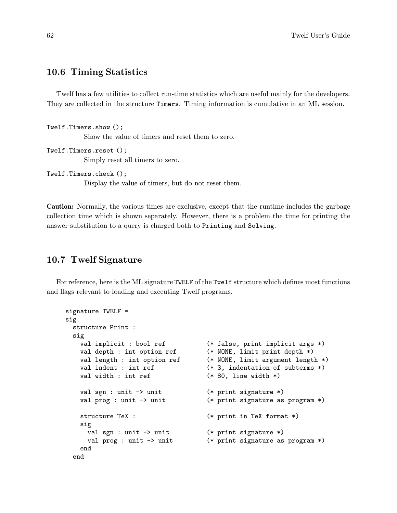### 10.6 Timing Statistics

Twelf has a few utilities to collect run-time statistics which are useful mainly for the developers. They are collected in the structure Timers. Timing information is cumulative in an ML session.

```
Twelf.Timers.show ();
           Show the value of timers and reset them to zero.
Twelf.Timers.reset ();
```
Simply reset all timers to zero.

```
Twelf.Timers.check ();
```
Display the value of timers, but do not reset them.

Caution: Normally, the various times are exclusive, except that the runtime includes the garbage collection time which is shown separately. However, there is a problem the time for printing the answer substitution to a query is charged both to Printing and Solving.

## 10.7 Twelf Signature

For reference, here is the ML signature TWELF of the Twelf structure which defines most functions and flags relevant to loading and executing Twelf programs.

```
signature TWELF =
sig
 structure Print :
 sig
   val implicit : bool ref ( * false, print implicit args *)
   val depth : int option ref (* NONE, limit print depth *)
   val length : int option ref (* NONE, limit argument length *)
   val indent : int ref (*), indentation of subterms *)
   val width : int ref (*) (* 80, line width *)
   val sgn : unit -> unit (* print signature *)
   val prog : unit -> unit (* print signature as program *)
   structure TeX : (*) (* print in TeX format *)
   sig
     val sgn : unit -> unit (* print signature *)
     val prog : unit -> unit (* print signature as program *)
   end
 end
```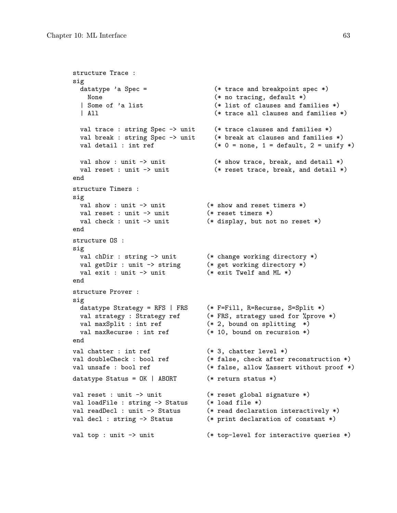```
structure Trace :
sig
 datatype 'a Spec = (* \ttrace and \tbreve) and (* \tbreve) = (* \tbreve) and (* \tbreve) = (* \tbreve)None (* no tracing, default *)| Some of 'a list (* list of clauses and families *)
 | All (* trace all clauses and families *)
 val trace : string Spec -> unit (* trace clauses and families *)
 val break : string Spec -> unit (* break at clauses and families *)
 val detail : int ref (*) (*) = none, 1 = default, 2 = unify *)
 val show : unit -> unit (* show trace, break, and detail *)
 val reset : unit -> unit (* reset trace, break, and detail *)
end
structure Timers :
sig
 val show : unit \rightarrow unit ( * show and reset timers *)
 val reset : unit -> unit (* reset timers *)
 val check : unit -> unit (* display, but not no reset *)
end
structure OS :
sig
 val chDir : string -> unit (* change working directory *)
 val getDir : unit -> string (* get working directory *)
 val exit : unit \rightarrow unit ( \ast exit Twelf and ML \ast)
end
structure Prover :
sig
 datatype Strategy = RFS | FRS (* F=Fill, R=Recurse, S=Split *)
 val strategy : Strategy ref (* FRS, strategy used for %prove *)
 val maxSplit : int ref (* 2, bound on splitting (*)val maxRecurse : int ref (* 10, bound on recursion *)end
val chatter : int ref (*), chatter level *)
val doubleCheck : bool ref (* false, check after reconstruction *)
val unsafe : bool ref (* false, allow % assert without proof *)
datatype Status = OK | ABORT (* return status *)
val reset : unit -> unit (* reset global signature *)
val loadFile : string -> Status (* load file *)
val readDecl : unit -> Status (* read declaration interactively *)
val decl : string -> Status (* print declaration of constant *)
val top : unit -> unit (* top-level for interactive queries *)
```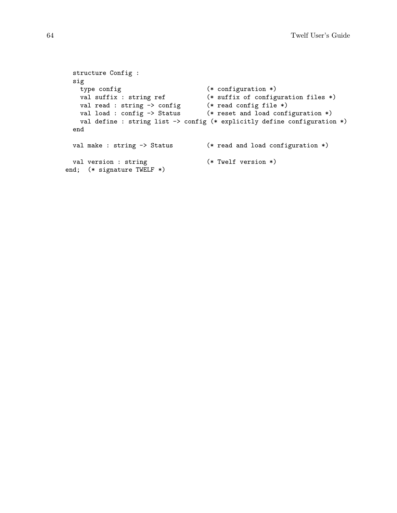```
structure Config :
 sig
   type config<br>
val suffix : string ref (* suffix of configuration files *)
    val suffix : string ref (* suffix of configuration files *)
    val read : string -> config (* read config file *)
    val load : config -> Status (* reset and load configuration *)
   val define : string list -> config (* explicitly define configuration *)
 end
 val make : string -> Status (* read and load configuration *)
 val version : string (*) (* Twelf version *)
end; (* signature TWELF *)
```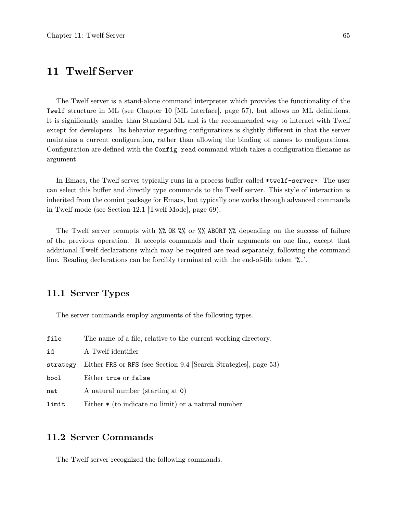# 11 Twelf Server

The Twelf server is a stand-alone command interpreter which provides the functionality of the Twelf structure in ML (see Chapter 10 [ML Interface], page 57), but allows no ML definitions. It is significantly smaller than Standard ML and is the recommended way to interact with Twelf except for developers. Its behavior regarding configurations is slightly different in that the server maintains a current configuration, rather than allowing the binding of names to configurations. Configuration are defined with the Config.read command which takes a configuration filename as argument.

In Emacs, the Twelf server typically runs in a process buffer called \*twelf-server\*. The user can select this buffer and directly type commands to the Twelf server. This style of interaction is inherited from the comint package for Emacs, but typically one works through advanced commands in Twelf mode (see Section 12.1 [Twelf Mode], page 69).

The Twelf server prompts with  $\frac{1}{6}$  OK  $\frac{1}{6}$  or  $\frac{1}{6}$  ABORT  $\frac{1}{6}$  depending on the success of failure of the previous operation. It accepts commands and their arguments on one line, except that additional Twelf declarations which may be required are read separately, following the command line. Reading declarations can be forcibly terminated with the end-of-file token '%.'.

## 11.1 Server Types

The server commands employ arguments of the following types.

| file     | The name of a file, relative to the current working directory.   |
|----------|------------------------------------------------------------------|
| id       | A Twelf identifier                                               |
| strategy | Either FRS or RFS (see Section 9.4 [Search Strategies], page 53) |
| bool     | Either true or false                                             |
| nat      | A natural number (starting at 0)                                 |
| limit    | Either $\ast$ (to indicate no limit) or a natural number         |

## 11.2 Server Commands

The Twelf server recognized the following commands.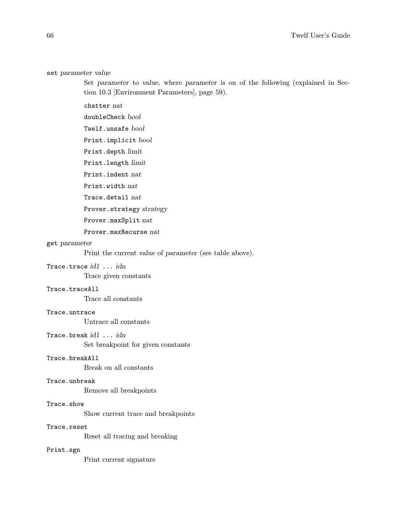#### set parameter value

Set parameter to value, where parameter is on of the following (explained in Section 10.3 [Environment Parameters], page 59).

chatter nat

doubleCheck bool

Twelf.unsafe bool

Print.implicit bool

Print.depth limit

Print.length limit

Print.indent nat

Print.width nat

Trace.detail nat

Prover.strategy strategy

Prover.maxSplit nat

Prover.maxRecurse nat

#### get parameter

Print the current value of parameter (see table above).

### Trace.trace id1 ... idn

Trace given constants

### Trace.traceAll

Trace all constants

### Trace.untrace

Untrace all constants

### Trace.break id1 ... idn

Set breakpoint for given constants

### Trace.breakAll

Break on all constants

### Trace.unbreak

Remove all breakpoints

### Trace.show

Show current trace and breakpoints

### Trace.reset

Reset all tracing and breaking

#### Print.sgn

Print current signature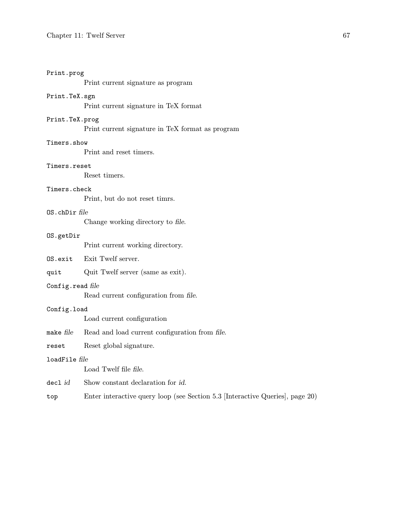### Print.prog

Print current signature as program

### Print.TeX.sgn

Print current signature in TeX format

### Print.TeX.prog

Print current signature in TeX format as program

### Timers.show

Print and reset timers.

### Timers.reset

Reset timers.

### Timers.check

Print, but do not reset timrs.

### OS.chDir file

Change working directory to file.

### OS.getDir

Print current working directory.

### OS.exit Exit Twelf server.

quit Quit Twelf server (same as exit).

### Config.read file

Read current configuration from file.

### Config.load

Load current configuration

make file Read and load current configuration from file.

reset Reset global signature.

### loadFile file

Load Twelf file file.

- decl *id* Show constant declaration for *id*.
- top Enter interactive query loop (see Section 5.3 [Interactive Queries], page 20)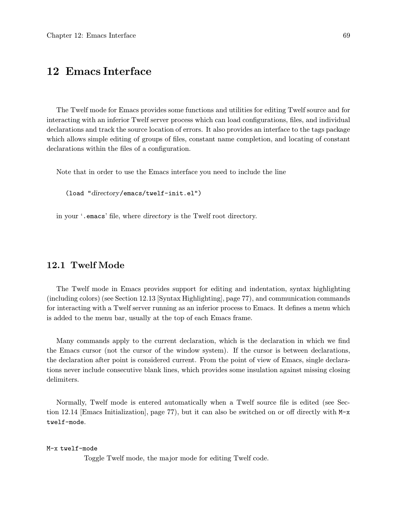# 12 Emacs Interface

The Twelf mode for Emacs provides some functions and utilities for editing Twelf source and for interacting with an inferior Twelf server process which can load configurations, files, and individual declarations and track the source location of errors. It also provides an interface to the tags package which allows simple editing of groups of files, constant name completion, and locating of constant declarations within the files of a configuration.

Note that in order to use the Emacs interface you need to include the line

(load "directory/emacs/twelf-init.el")

in your '.emacs' file, where directory is the Twelf root directory.

## 12.1 Twelf Mode

The Twelf mode in Emacs provides support for editing and indentation, syntax highlighting (including colors) (see Section 12.13 [Syntax Highlighting], page 77), and communication commands for interacting with a Twelf server running as an inferior process to Emacs. It defines a menu which is added to the menu bar, usually at the top of each Emacs frame.

Many commands apply to the current declaration, which is the declaration in which we find the Emacs cursor (not the cursor of the window system). If the cursor is between declarations, the declaration after point is considered current. From the point of view of Emacs, single declarations never include consecutive blank lines, which provides some insulation against missing closing delimiters.

Normally, Twelf mode is entered automatically when a Twelf source file is edited (see Section 12.14 [Emacs Initialization], page 77), but it can also be switched on or off directly with M-x twelf-mode.

M-x twelf-mode

Toggle Twelf mode, the major mode for editing Twelf code.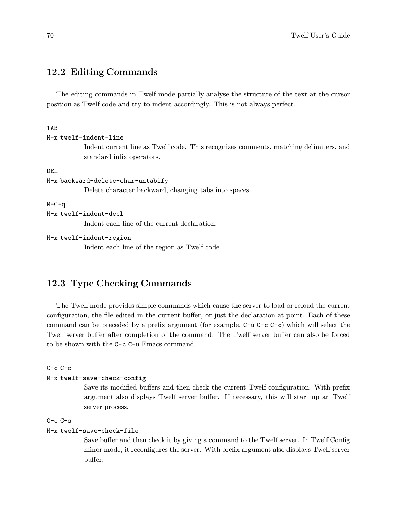## 12.2 Editing Commands

The editing commands in Twelf mode partially analyse the structure of the text at the cursor position as Twelf code and try to indent accordingly. This is not always perfect.

### TAB

```
M-x twelf-indent-line
```
Indent current line as Twelf code. This recognizes comments, matching delimiters, and standard infix operators.

DEL

```
M-x backward-delete-char-untabify
```
Delete character backward, changing tabs into spaces.

 $M-C-q$ 

```
M-x twelf-indent-decl
```
Indent each line of the current declaration.

```
M-x twelf-indent-region
```
Indent each line of the region as Twelf code.

## 12.3 Type Checking Commands

The Twelf mode provides simple commands which cause the server to load or reload the current configuration, the file edited in the current buffer, or just the declaration at point. Each of these command can be preceded by a prefix argument (for example, C-u C-c C-c) which will select the Twelf server buffer after completion of the command. The Twelf server buffer can also be forced to be shown with the C-c C-u Emacs command.

 $C-c$   $C-c$ 

```
M-x twelf-save-check-config
```
Save its modified buffers and then check the current Twelf configuration. With prefix argument also displays Twelf server buffer. If necessary, this will start up an Twelf server process.

### C-c C-s

### M-x twelf-save-check-file

Save buffer and then check it by giving a command to the Twelf server. In Twelf Config minor mode, it reconfigures the server. With prefix argument also displays Twelf server buffer.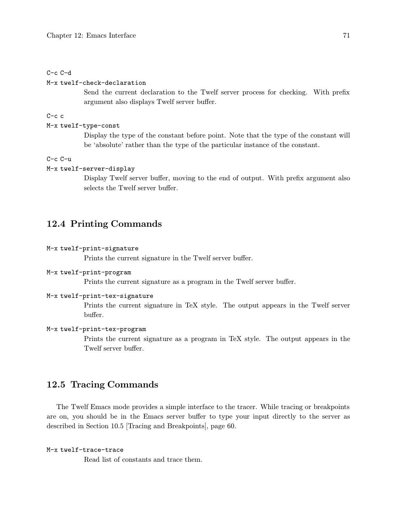#### C-c C-d

#### M-x twelf-check-declaration

Send the current declaration to the Twelf server process for checking. With prefix argument also displays Twelf server buffer.

#### $C-c$  c

#### M-x twelf-type-const

Display the type of the constant before point. Note that the type of the constant will be 'absolute' rather than the type of the particular instance of the constant.

#### C-c C-u

#### M-x twelf-server-display

Display Twelf server buffer, moving to the end of output. With prefix argument also selects the Twelf server buffer.

### 12.4 Printing Commands

#### M-x twelf-print-signature

Prints the current signature in the Twelf server buffer.

#### M-x twelf-print-program

Prints the current signature as a program in the Twelf server buffer.

#### M-x twelf-print-tex-signature

Prints the current signature in TeX style. The output appears in the Twelf server buffer.

#### M-x twelf-print-tex-program

Prints the current signature as a program in TeX style. The output appears in the Twelf server buffer.

### 12.5 Tracing Commands

The Twelf Emacs mode provides a simple interface to the tracer. While tracing or breakpoints are on, you should be in the Emacs server buffer to type your input directly to the server as described in Section 10.5 [Tracing and Breakpoints], page 60.

#### M-x twelf-trace-trace

Read list of constants and trace them.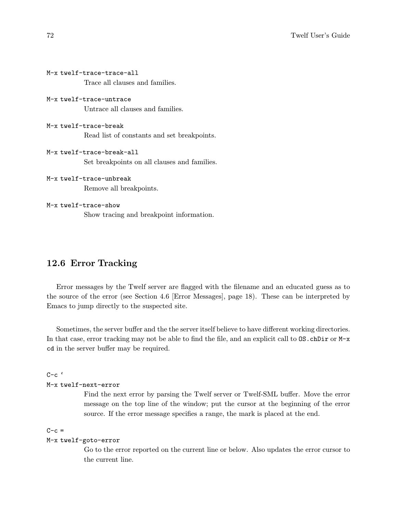```
M-x twelf-trace-trace-all
           Trace all clauses and families.
M-x twelf-trace-untrace
           Untrace all clauses and families.
M-x twelf-trace-break
           Read list of constants and set breakpoints.
M-x twelf-trace-break-all
           Set breakpoints on all clauses and families.
M-x twelf-trace-unbreak
           Remove all breakpoints.
M-x twelf-trace-show
           Show tracing and breakpoint information.
```
### 12.6 Error Tracking

Error messages by the Twelf server are flagged with the filename and an educated guess as to the source of the error (see Section 4.6 [Error Messages], page 18). These can be interpreted by Emacs to jump directly to the suspected site.

Sometimes, the server buffer and the the server itself believe to have different working directories. In that case, error tracking may not be able to find the file, and an explicit call to  $OS$ .chDir or M-x cd in the server buffer may be required.

```
C-c (
```
M-x twelf-next-error

Find the next error by parsing the Twelf server or Twelf-SML buffer. Move the error message on the top line of the window; put the cursor at the beginning of the error source. If the error message specifies a range, the mark is placed at the end.

 $C-c =$ 

#### M-x twelf-goto-error

Go to the error reported on the current line or below. Also updates the error cursor to the current line.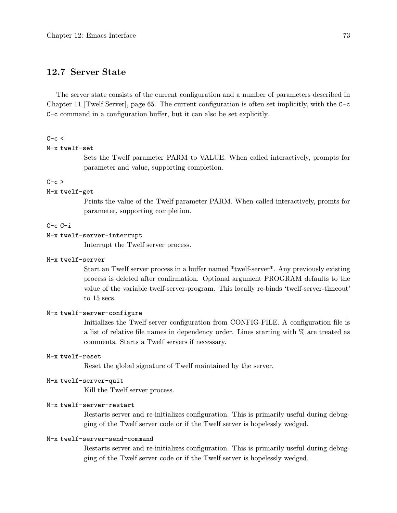### 12.7 Server State

The server state consists of the current configuration and a number of parameters described in Chapter 11 [Twelf Server], page 65. The current configuration is often set implicitly, with the C-c C-c command in a configuration buffer, but it can also be set explicitly.

#### $C-c <$

#### M-x twelf-set

Sets the Twelf parameter PARM to VALUE. When called interactively, prompts for parameter and value, supporting completion.

#### $C-c$  >

#### M-x twelf-get

Prints the value of the Twelf parameter PARM. When called interactively, promts for parameter, supporting completion.

#### C-c C-i

#### M-x twelf-server-interrupt

Interrupt the Twelf server process.

#### M-x twelf-server

Start an Twelf server process in a buffer named \*twelf-server\*. Any previously existing process is deleted after confirmation. Optional argument PROGRAM defaults to the value of the variable twelf-server-program. This locally re-binds 'twelf-server-timeout' to 15 secs.

#### M-x twelf-server-configure

Initializes the Twelf server configuration from CONFIG-FILE. A configuration file is a list of relative file names in dependency order. Lines starting with % are treated as comments. Starts a Twelf servers if necessary.

#### M-x twelf-reset

Reset the global signature of Twelf maintained by the server.

#### M-x twelf-server-quit

Kill the Twelf server process.

#### M-x twelf-server-restart

Restarts server and re-initializes configuration. This is primarily useful during debugging of the Twelf server code or if the Twelf server is hopelessly wedged.

#### M-x twelf-server-send-command

Restarts server and re-initializes configuration. This is primarily useful during debugging of the Twelf server code or if the Twelf server is hopelessly wedged.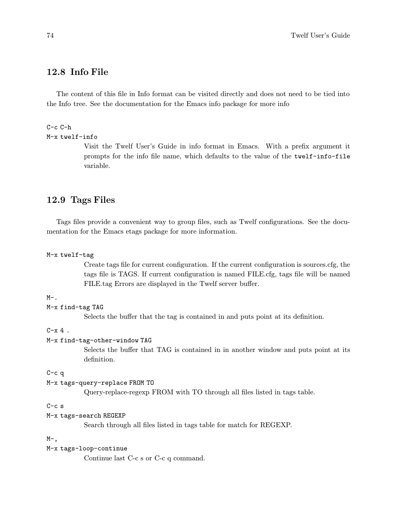### 12.8 Info File

The content of this file in Info format can be visited directly and does not need to be tied into the Info tree. See the documentation for the Emacs info package for more info

### $C-c$   $C-h$

```
M-x twelf-info
```
Visit the Twelf User's Guide in info format in Emacs. With a prefix argument it prompts for the info file name, which defaults to the value of the twelf-info-file variable.

### 12.9 Tags Files

Tags files provide a convenient way to group files, such as Twelf configurations. See the documentation for the Emacs etags package for more information.

```
M-x twelf-tag
```
Create tags file for current configuration. If the current configuration is sources.cfg, the tags file is TAGS. If current configuration is named FILE.cfg, tags file will be named FILE.tag Errors are displayed in the Twelf server buffer.

 $M-$ .

M-x find-tag TAG

Selects the buffer that the tag is contained in and puts point at its definition.

 $C-x$  4.

#### M-x find-tag-other-window TAG

Selects the buffer that TAG is contained in in another window and puts point at its definition.

C-c q

```
M-x tags-query-replace FROM TO
```
Query-replace-regexp FROM with TO through all files listed in tags table.

#### C-c s

```
M-x tags-search REGEXP
```
Search through all files listed in tags table for match for REGEXP.

#### $M-$ ,

M-x tags-loop-continue

Continue last C-c s or C-c q command.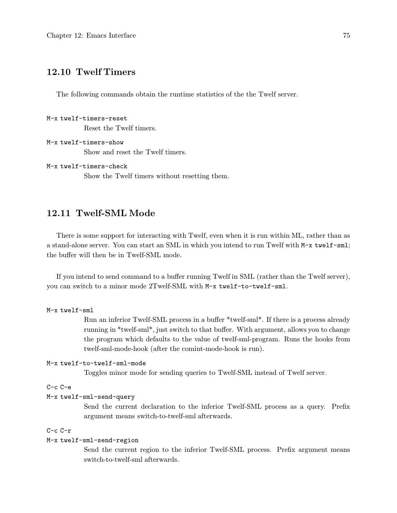### 12.10 Twelf Timers

The following commands obtain the runtime statistics of the the Twelf server.

```
M-x twelf-timers-reset
           Reset the Twelf timers.
```

```
M-x twelf-timers-show
           Show and reset the Twelf timers.
```

```
M-x twelf-timers-check
```
Show the Twelf timers without resetting them.

### 12.11 Twelf-SML Mode

There is some support for interacting with Twelf, even when it is run within ML, rather than as a stand-alone server. You can start an SML in which you intend to run Twelf with M-x twelf-sml; the buffer will then be in Twelf-SML mode.

If you intend to send command to a buffer running Twelf in SML (rather than the Twelf server), you can switch to a minor mode 2Twelf-SML with M-x twelf-to-twelf-sml.

```
M-x twelf-sml
```
Run an inferior Twelf-SML process in a buffer \*twelf-sml\*. If there is a process already running in \*twelf-sml\*, just switch to that buffer. With argument, allows you to change the program which defaults to the value of twelf-sml-program. Runs the hooks from twelf-sml-mode-hook (after the comint-mode-hook is run).

#### M-x twelf-to-twelf-sml-mode

Toggles minor mode for sending queries to Twelf-SML instead of Twelf server.

#### C-c C-e

#### M-x twelf-sml-send-query

Send the current declaration to the inferior Twelf-SML process as a query. Prefix argument means switch-to-twelf-sml afterwards.

#### C-c C-r

#### M-x twelf-sml-send-region

Send the current region to the inferior Twelf-SML process. Prefix argument means switch-to-twelf-sml afterwards.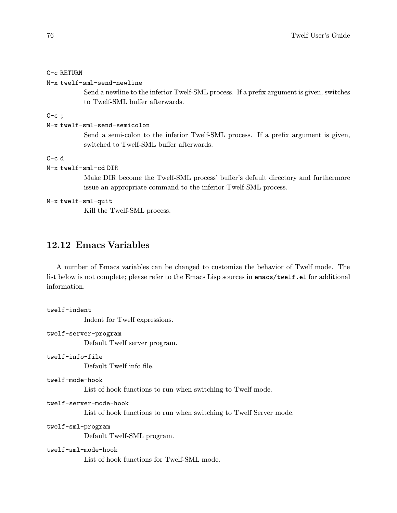#### C-c RETURN

```
M-x twelf-sml-send-newline
```
Send a newline to the inferior Twelf-SML process. If a prefix argument is given, switches to Twelf-SML buffer afterwards.

 $C-c$ ;

#### M-x twelf-sml-send-semicolon

Send a semi-colon to the inferior Twelf-SML process. If a prefix argument is given, switched to Twelf-SML buffer afterwards.

#### $C-c$  d

### M-x twelf-sml-cd DIR

Make DIR become the Twelf-SML process' buffer's default directory and furthermore issue an appropriate command to the inferior Twelf-SML process.

#### M-x twelf-sml-quit

Kill the Twelf-SML process.

### 12.12 Emacs Variables

A number of Emacs variables can be changed to customize the behavior of Twelf mode. The list below is not complete; please refer to the Emacs Lisp sources in emacs/twelf.el for additional information.

### twelf-indent Indent for Twelf expressions.

twelf-server-program

Default Twelf server program.

```
twelf-info-file
```
Default Twelf info file.

```
twelf-mode-hook
```
List of hook functions to run when switching to Twelf mode.

```
twelf-server-mode-hook
```
List of hook functions to run when switching to Twelf Server mode.

```
twelf-sml-program
```
Default Twelf-SML program.

#### twelf-sml-mode-hook

List of hook functions for Twelf-SML mode.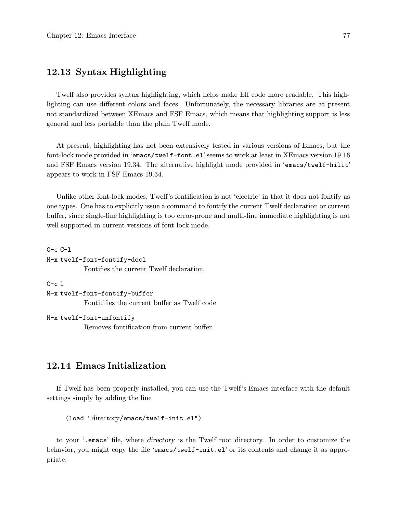### 12.13 Syntax Highlighting

Twelf also provides syntax highlighting, which helps make Elf code more readable. This highlighting can use different colors and faces. Unfortunately, the necessary libraries are at present not standardized between XEmacs and FSF Emacs, which means that highlighting support is less general and less portable than the plain Twelf mode.

At present, highlighting has not been extensively tested in various versions of Emacs, but the font-lock mode provided in 'emacs/twelf-font.el' seems to work at least in XEmacs version 19.16 and FSF Emacs version 19.34. The alternative highlight mode provided in 'emacs/twelf-hilit' appears to work in FSF Emacs 19.34.

Unlike other font-lock modes, Twelf's fontification is not 'electric' in that it does not fontify as one types. One has to explicitly issue a command to fontify the current Twelf declaration or current buffer, since single-line highlighting is too error-prone and multi-line immediate highlighting is not well supported in current versions of font lock mode.

```
C-c C-1M-x twelf-font-fontify-decl
           Fontifies the current Twelf declaration.
```

```
C-c<sub>1</sub>
```
M-x twelf-font-fontify-buffer Fontitifies the current buffer as Twelf code

#### M-x twelf-font-unfontify

Removes fontification from current buffer.

### 12.14 Emacs Initialization

If Twelf has been properly installed, you can use the Twelf's Emacs interface with the default settings simply by adding the line

```
(load "directory/emacs/twelf-init.el")
```
to your '.emacs' file, where directory is the Twelf root directory. In order to customize the behavior, you might copy the file 'emacs/twelf-init.el' or its contents and change it as appropriate.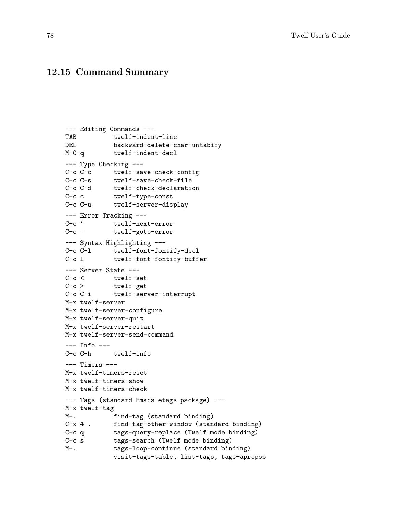### 12.15 Command Summary

```
--- Editing Commands ---
TAB twelf-indent-line
DEL backward-delete-char-untabify
M-C-q twelf-indent-decl
--- Type Checking ---
C-c C-c twelf-save-check-config
C-c C-s twelf-save-check-file
C-c C-d twelf-check-declaration<br>C-c c twelf-type-const
           twelf-type-const
C-c C-u twelf-server-display
--- Error Tracking ---<br>C-c ' twelf-nex
       twelf-next-error
C-c = twelf-goto-error
--- Syntax Highlighting ---
C-c C-l twelf-font-fontify-decl
C-c l twelf-font-fontify-buffer
--- Server State ---<br>C-c < twelf-se
        twelf-set
C-c > twelf-get
C-c C-i twelf-server-interrupt
M-x twelf-server
M-x twelf-server-configure
M-x twelf-server-quit
M-x twelf-server-restart
M-x twelf-server-send-command
--- Info ---
C-c C-h twelf-info
--- Timers ---
M-x twelf-timers-reset
M-x twelf-timers-show
M-x twelf-timers-check
--- Tags (standard Emacs etags package) ---
M-x twelf-tag
M-. find-tag (standard binding)<br>C-x 4 . find-tag-other-window (stand
            find-tag-other-window (standard binding)
C-c q tags-query-replace (Twelf mode binding)
C-c s tags-search (Twelf mode binding)
M-, tags-loop-continue (standard binding)
            visit-tags-table, list-tags, tags-apropos
```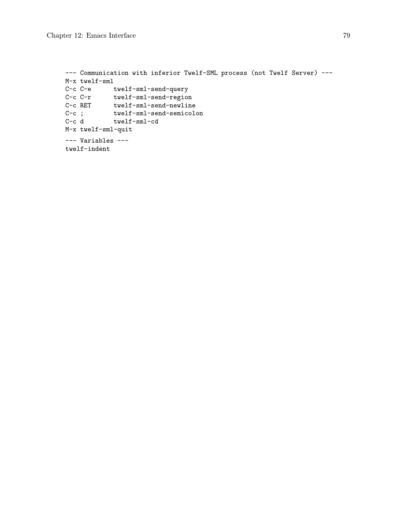```
--- Communication with inferior Twelf-SML process (not Twelf Server) ---
M-x twelf-sml
C-c C-e twelf-sml-send-query
C-c C-r twelf-sml-send-region
C-c RET twelf-sml-send-newline
C-c ; twelf-sml-send-semicolon
C-c d twelf-sml-cd
M-x twelf-sml-quit
--- Variables ---
twelf-indent
```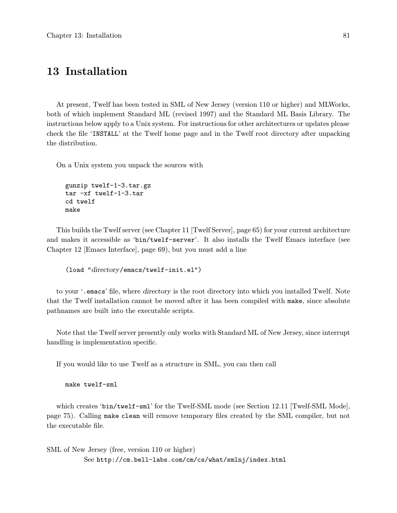### 13 Installation

At present, Twelf has been tested in SML of New Jersey (version 110 or higher) and MLWorks, both of which implement Standard ML (revised 1997) and the Standard ML Basis Library. The instructions below apply to a Unix system. For instructions for other architectures or updates please check the file 'INSTALL' at the Twelf home page and in the Twelf root directory after unpacking the distribution.

On a Unix system you unpack the sources with

```
gunzip twelf-1-3.tar.gz
tar -xf twelf-1-3.tar
cd twelf
make
```
This builds the Twelf server (see Chapter 11 [Twelf Server], page 65) for your current architecture and makes it accessible as 'bin/twelf-server'. It also installs the Twelf Emacs interface (see Chapter 12 [Emacs Interface], page 69), but you must add a line

```
(load "directory/emacs/twelf-init.el")
```
to your '.emacs' file, where directory is the root directory into which you installed Twelf. Note that the Twelf installation cannot be moved after it has been compiled with make, since absolute pathnames are built into the executable scripts.

Note that the Twelf server presently only works with Standard ML of New Jersey, since interrupt handling is implementation specific.

If you would like to use Twelf as a structure in SML, you can then call

```
make twelf-sml
```
which creates 'bin/twelf-sml' for the Twelf-SML mode (see Section 12.11 [Twelf-SML Mode], page 75). Calling make clean will remove temporary files created by the SML compiler, but not the executable file.

SML of New Jersey (free, version 110 or higher) See http://cm.bell-labs.com/cm/cs/what/smlnj/index.html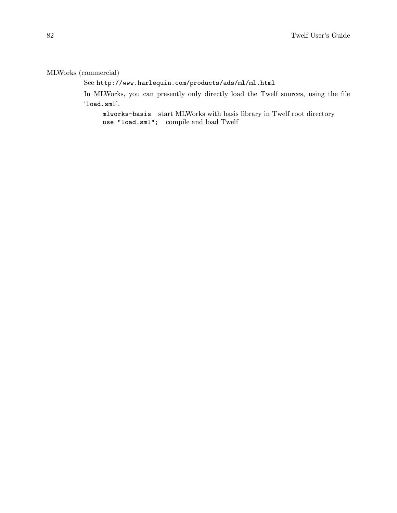### MLWorks (commercial)

See http://www.harlequin.com/products/ads/ml/ml.html

In MLWorks, you can presently only directly load the Twelf sources, using the file 'load.sml'.

mlworks-basis start MLWorks with basis library in Twelf root directory use "load.sml"; compile and load Twelf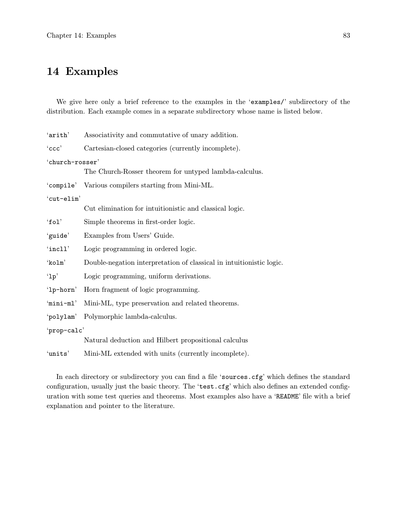## 14 Examples

We give here only a brief reference to the examples in the 'examples/' subdirectory of the distribution. Each example comes in a separate subdirectory whose name is listed below.

| 'arith'         | Associativity and commutative of unary addition.                     |  |
|-----------------|----------------------------------------------------------------------|--|
| $\text{`ccc'}$  | Cartesian-closed categories (currently incomplete).                  |  |
| 'church-rosser' |                                                                      |  |
|                 | The Church-Rosser theorem for untyped lambda-calculus.               |  |
|                 | 'compile' Various compilers starting from Mini-ML.                   |  |
| 'cut-elim'      |                                                                      |  |
|                 | Cut elimination for intuitionistic and classical logic.              |  |
| 'fol'           | Simple theorems in first-order logic.                                |  |
| 'guide'         | Examples from Users' Guide.                                          |  |
| 'incll'         | Logic programming in ordered logic.                                  |  |
| 'kolm'          | Double-negation interpretation of classical in intuitionistic logic. |  |
| '1p'            | Logic programming, uniform derivations.                              |  |
| '1p-horn'       | Horn fragment of logic programming.                                  |  |
| 'mini-ml'       | Mini-ML, type preservation and related theorems.                     |  |
| 'polylam'       | Polymorphic lambda-calculus.                                         |  |
| 'prop-calc'     |                                                                      |  |
|                 | Natural deduction and Hilbert propositional calculus                 |  |
| 'units'         | Mini-ML extended with units (currently incomplete).                  |  |

In each directory or subdirectory you can find a file 'sources.cfg' which defines the standard configuration, usually just the basic theory. The 'test.cfg' which also defines an extended configuration with some test queries and theorems. Most examples also have a 'README' file with a brief explanation and pointer to the literature.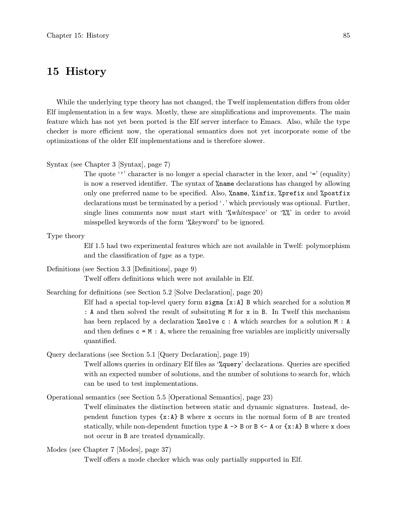### 15 History

While the underlying type theory has not changed, the Twelf implementation differs from older Elf implementation in a few ways. Mostly, these are simplifications and improvements. The main feature which has not yet been ported is the Elf server interface to Emacs. Also, while the type checker is more efficient now, the operational semantics does not yet incorporate some of the optimizations of the older Elf implementations and is therefore slower.

#### Syntax (see Chapter 3 [Syntax], page 7)

The quote '' character is no longer a special character in the lexer, and ' $=$ ' (equality) is now a reserved identifier. The syntax of %name declarations has changed by allowing only one preferred name to be specified. Also, %name, %infix, %prefix and %postfix declarations must be terminated by a period '.' which previously was optional. Further, single lines comments now must start with '%whitespace' or '%%' in order to avoid misspelled keywords of the form '%keyword' to be ignored.

Type theory

Elf 1.5 had two experimental features which are not available in Twelf: polymorphism and the classification of type as a type.

Definitions (see Section 3.3 [Definitions], page 9)

Twelf offers definitions which were not available in Elf.

Searching for definitions (see Section 5.2 [Solve Declaration], page 20)

Elf had a special top-level query form sigma  $[x:A]$  B which searched for a solution M : A and then solved the result of subsituting M for x in B. In Twelf this mechanism has been replaced by a declaration  $%$ solvec: A which searches for a solution M: A and then defines  $c = M : A$ , where the remaining free variables are implicitly universally quantified.

Query declarations (see Section 5.1 [Query Declaration], page 19)

Twelf allows queries in ordinary Elf files as '%query' declarations. Queries are specified with an expected number of solutions, and the number of solutions to search for, which can be used to test implementations.

Operational semantics (see Section 5.5 [Operational Semantics], page 23)

Twelf eliminates the distinction between static and dynamic signatures. Instead, dependent function types  $\{x:A\}$  B where x occurs in the normal form of B are treated statically, while non-dependent function type  $A \rightarrow B$  or  $B \leftarrow A$  or  $\{x : A\}$  B where x does not occur in B are treated dynamically.

Modes (see Chapter 7 [Modes], page 37)

Twelf offers a mode checker which was only partially supported in Elf.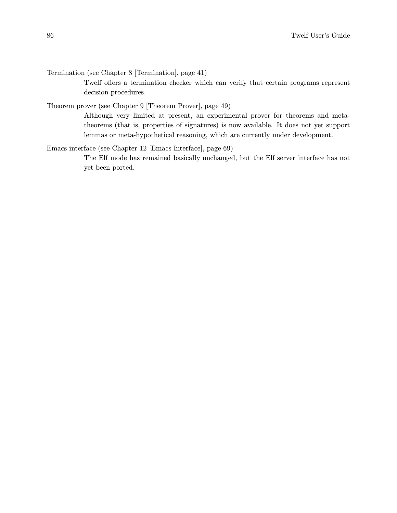Termination (see Chapter 8 [Termination], page 41)

Twelf offers a termination checker which can verify that certain programs represent decision procedures.

Theorem prover (see Chapter 9 [Theorem Prover], page 49)

Although very limited at present, an experimental prover for theorems and metatheorems (that is, properties of signatures) is now available. It does not yet support lemmas or meta-hypothetical reasoning, which are currently under development.

Emacs interface (see Chapter 12 [Emacs Interface], page 69)

The Elf mode has remained basically unchanged, but the Elf server interface has not yet been ported.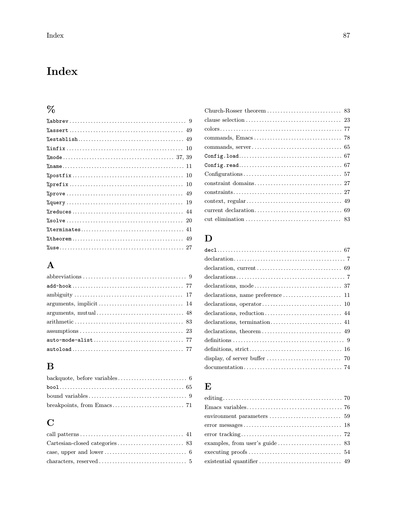# Index

# $%$

## ${\bf A}$

## $\, {\bf B}$

## $\mathbf C$

| case, upper and lower $\dots \dots \dots \dots \dots \dots \dots \dots \dots \dots$ 6 |  |
|---------------------------------------------------------------------------------------|--|
|                                                                                       |  |

## $\mathbf D$

| $\text{declarations} \dots \dots \dots \dots \dots \dots \dots \dots \dots \dots \dots \dots \dots \dots \dots \dots$ |
|-----------------------------------------------------------------------------------------------------------------------|
|                                                                                                                       |
|                                                                                                                       |
|                                                                                                                       |
|                                                                                                                       |
|                                                                                                                       |
|                                                                                                                       |
|                                                                                                                       |
|                                                                                                                       |
|                                                                                                                       |
|                                                                                                                       |
|                                                                                                                       |

## $\bf{E}$

| environment parameters $\dots \dots \dots \dots \dots \dots \dots \dots \dots$ 59 |
|-----------------------------------------------------------------------------------|
|                                                                                   |
|                                                                                   |
|                                                                                   |
|                                                                                   |
|                                                                                   |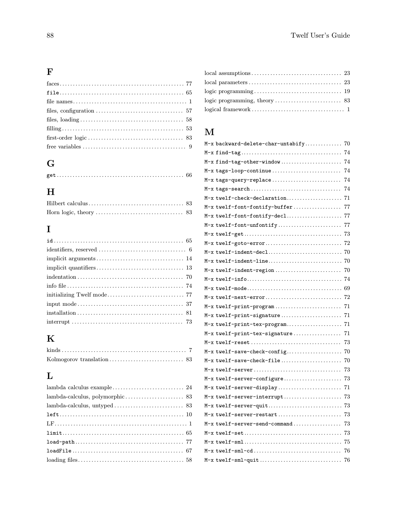## F

| files, $loading \ldots \ldots \ldots \ldots \ldots \ldots \ldots \ldots \ldots \ldots \ldots \ldots \ldots 58$ |
|----------------------------------------------------------------------------------------------------------------|
|                                                                                                                |
|                                                                                                                |
|                                                                                                                |
|                                                                                                                |

## G

# H

## I

| $\text{interrupt}\dots\dots\dots\dots\dots\dots\dots\dots\dots\dots\dots\dots\dots \quad 73$ |
|----------------------------------------------------------------------------------------------|

# K

## L

## M

| M-x backward-delete-char-untabify | 70  |
|-----------------------------------|-----|
|                                   | 74  |
| M-x find-tag-other-window         | 74  |
| M-x tags-loop-continue            | 74  |
| M-x tags-query-replace            | 74  |
| M-x tags-search                   | 74  |
| M-x twelf-check-declaration       | 71  |
| M-x twelf-font-fontify-buffer     | 77  |
|                                   |     |
| M-x twelf-font-unfontify          | 77  |
|                                   | 73  |
| M-x twelf-goto-error              | 72  |
| M-x twelf-indent-decl             | 70  |
| M-x twelf-indent-line             | -70 |
| M-x twelf-indent-region           | 70  |
|                                   |     |
|                                   |     |
| M-x twelf-next-error              | 72  |
| M-x twelf-print-program           | 71  |
| M-x twelf-print-signature         | 71  |
| M-x twelf-print-tex-program       | 71  |
| M-x twelf-print-tex-signature     | 71  |
|                                   | 73  |
| M-x twelf-save-check-config       | 70  |
| M-x twelf-save-check-file         | 70  |
| M-x twelf-server                  | 73  |
| M-x twelf-server-configure        | 73  |
| M-x twelf-server-display          | 71  |
| M-x twelf-server-interrupt        | 73  |
| M-x twelf-server-quit             | 73  |
| M-x twelf-server-restart          | 73  |
| M-x twelf-server-send-command     | 73  |
|                                   | 73  |
|                                   | 75  |
| $M-x$ twelf-sml-cd                | 76  |
| M-x twelf-sml-quit                | 76  |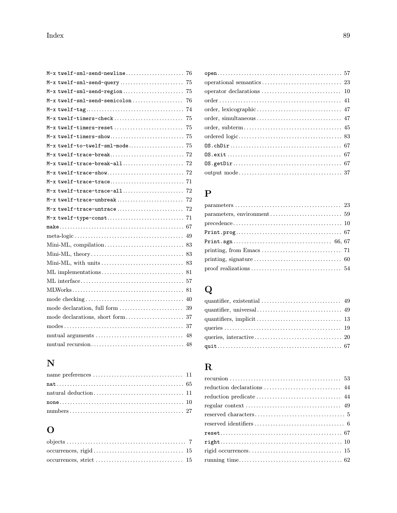| M-x twelf-sml-send-newline<br>76   |
|------------------------------------|
| M-x twelf-sml-send-query<br>75     |
| M-x twelf-sml-send-region<br>75    |
| M-x twelf-sml-send-semicolon<br>76 |
| 74                                 |
| M-x twelf-timers-check<br>75       |
| M-x twelf-timers-reset<br>75       |
|                                    |
|                                    |
|                                    |
|                                    |
|                                    |
|                                    |
|                                    |
| M-x twelf-trace-unbreak<br>72      |
|                                    |
|                                    |
|                                    |
| 49                                 |
|                                    |
|                                    |
|                                    |
|                                    |
|                                    |
|                                    |
| 40                                 |
| 39                                 |
|                                    |
|                                    |
| 48                                 |
|                                    |
|                                    |

## N

## O

## P

| $precedence \ldots \ldots \ldots \ldots \ldots \ldots \ldots \ldots \ldots \ldots \ldots \ldots \ldots 10$ |  |
|------------------------------------------------------------------------------------------------------------|--|
|                                                                                                            |  |
|                                                                                                            |  |
|                                                                                                            |  |
|                                                                                                            |  |
|                                                                                                            |  |
|                                                                                                            |  |

# Q

## R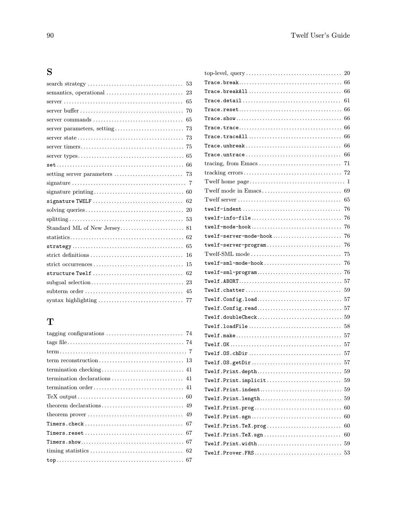## S

| 53                           |
|------------------------------|
| 23                           |
| 65                           |
| 70                           |
|                              |
|                              |
|                              |
|                              |
|                              |
|                              |
|                              |
|                              |
|                              |
|                              |
|                              |
|                              |
| Standard ML of New Jersey 81 |
|                              |
| 65                           |
| 16                           |
| 15                           |
| structure Twelf<br>62        |
| 23                           |
| 45                           |
| 77                           |
|                              |

## T

| theorem prover $\dots \dots \dots \dots \dots \dots \dots \dots \dots \dots \dots$ 49 |
|---------------------------------------------------------------------------------------|
|                                                                                       |
|                                                                                       |
|                                                                                       |
|                                                                                       |
|                                                                                       |

|                                                                                                        | 20 |
|--------------------------------------------------------------------------------------------------------|----|
| $\mathtt{Trace}.\mathtt{break}.\ldots.\ldots.\ldots.\ldots.\ldots.\ldots.\ldots.\ldots.\enspace 66$    |    |
| $Trace. {\tt breakAll} \dots \dots \dots \dots \dots \dots \dots \dots \dots \dots \dots \dots$        | 66 |
|                                                                                                        | 61 |
| $Trace. reset \dots \dots \dots \dots \dots \dots \dots \dots \dots \dots \dots \dots \dots$           | 66 |
| $Trace.show \dots \dots \dots \dots \dots \dots \dots \dots \dots \dots \dots \dots \dots$             | 66 |
|                                                                                                        | 66 |
| $Trace.trac{All} \dots \dots \dots \dots \dots \dots \dots \dots \dots \dots \dots \dots$              | 66 |
| $Trace.$ unbreak $\ldots \ldots \ldots \ldots \ldots \ldots \ldots \ldots \ldots \ldots \ldots \ldots$ | 66 |
|                                                                                                        | 66 |
|                                                                                                        | 71 |
|                                                                                                        |    |
|                                                                                                        |    |
|                                                                                                        |    |
|                                                                                                        | 65 |
|                                                                                                        | 76 |
| ${\tt twelf-info-file}\dots\dots\dots\dots\dots\dots\dots\dots\dots\dots\dots$                         | 76 |
| ${\tt twelf-mode-hook}\dots\dots\dots\dots\dots\dots\dots\dots\dots\dots\dots\dots$                    | 76 |
| ${\tt twelf-server-mode-hook}\dots\dots\dots\dots\dots\dots\dots\dots\dots$                            | 76 |
| twelf-server-program                                                                                   | 76 |
| Twelf-SML mode                                                                                         | 75 |
| $twellf-sm1-mode-hook \dots \dots \dots \dots \dots \dots \dots \dots \dots$                           | 76 |
| ${\tt twelf-sm1-propram}\dots \dots \dots \dots \dots \dots \dots \dots \dots \dots$                   | 76 |
|                                                                                                        | 57 |
|                                                                                                        | 59 |
| ${\tt Twelf.Config.load.}\dots \dots \dots \dots \dots \dots \dots \dots \dots \dots$                  | 57 |
| ${\tt Twelf.Config.read}$                                                                              | 57 |
| Twelf.doubleCheck                                                                                      | 59 |
|                                                                                                        | 58 |
|                                                                                                        | 57 |
|                                                                                                        | 57 |
|                                                                                                        | 57 |
| Twelf.0S.getDir                                                                                        | 57 |
| ${\tt Twelf.Print. depth.59}$                                                                          |    |
| Twelf.Print.implicit                                                                                   | 59 |
| ${\tt Twell\,.Print.indent.\dots\dots\dots\dots\dots\dots\dots\dots\dots\ 59}$                         |    |
|                                                                                                        |    |
| ${\tt Twelf.Print.prog.}\dots\dots\dots\dots\dots\dots\dots\dots\dots\dots\dots$                       | 60 |
| ${\tt Twelf.Print.sgn$ $\ldots$ $\ldots$ $\ldots$ $\ldots$ $\ldots$ $\ldots$                           | 60 |
| ${\tt Twell.f. Print.}$ ${\tt TeX.prog.}\ldots \ldots \ldots \ldots \ldots \ldots \ldots$              | 60 |
| ${\tt Twelf.Print.TeX.sgn}\ldots\ldots\ldots\ldots\ldots\ldots\ldots\ldots$                            | 60 |
|                                                                                                        |    |
| ${\tt Twell\texttt{}.Prover\texttt{}.FRS}\dots\dots\dots\dots\dots\dots\dots\dots\dots\dots\dots \ 53$ |    |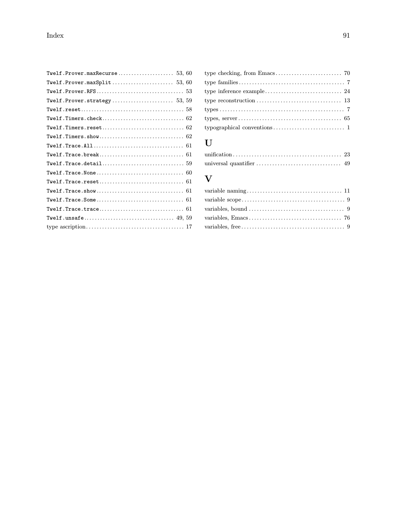## U

## V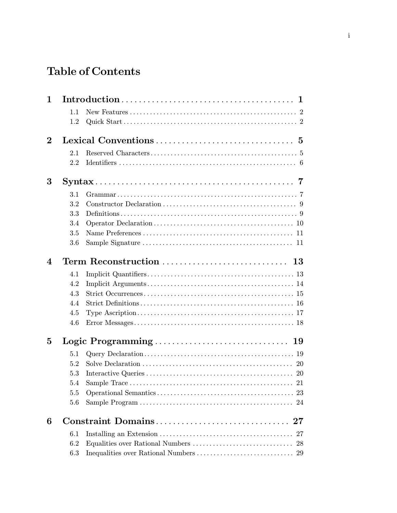# Table of Contents

| $\mathbf{1}$   |     |                                |
|----------------|-----|--------------------------------|
|                | 1.1 |                                |
|                | 1.2 |                                |
| $\bf{2}$       |     |                                |
|                | 2.1 |                                |
|                | 2.2 |                                |
| 3              |     |                                |
|                | 3.1 |                                |
|                | 3.2 |                                |
|                | 3.3 |                                |
|                | 3.4 |                                |
|                | 3.5 |                                |
|                | 3.6 |                                |
| $\overline{4}$ |     |                                |
|                | 4.1 |                                |
|                | 4.2 |                                |
|                | 4.3 |                                |
|                | 4.4 |                                |
|                | 4.5 |                                |
|                | 4.6 |                                |
| 5              |     |                                |
|                | 5.1 |                                |
|                | 5.2 |                                |
|                | 5.3 |                                |
|                | 5.4 | 21                             |
|                | 5.5 |                                |
|                | 5.6 |                                |
| 6              |     | Constraint Domains<br>$\bf 27$ |
|                | 6.1 | 27                             |
|                | 6.2 |                                |
|                | 6.3 |                                |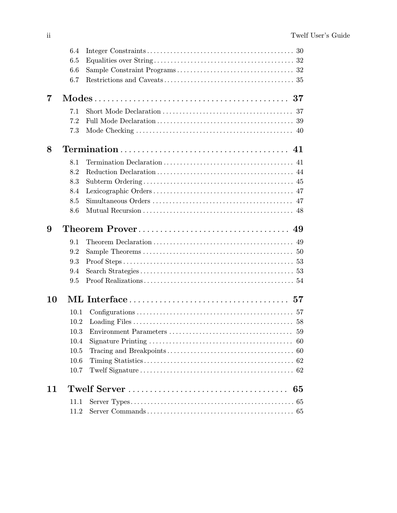|    | 6.4  |                                                                                                                           |    |
|----|------|---------------------------------------------------------------------------------------------------------------------------|----|
|    | 6.5  |                                                                                                                           |    |
|    | 6.6  |                                                                                                                           |    |
|    | 6.7  |                                                                                                                           |    |
| 7  |      | $\rm{Models} \dots \dots \dots \dots \dots \dots \dots \dots \dots \dots \dots \dots \dots \ 37$                          |    |
|    | 7.1  |                                                                                                                           |    |
|    | 7.2  |                                                                                                                           |    |
|    | 7.3  |                                                                                                                           |    |
| 8  |      | $Termination \dots \dots \dots \dots \dots \dots \dots \dots \dots \dots \dots \dots \dots \dots \dots \dots \dots \dots$ |    |
|    | 8.1  |                                                                                                                           |    |
|    | 8.2  |                                                                                                                           |    |
|    | 8.3  |                                                                                                                           |    |
|    | 8.4  |                                                                                                                           |    |
|    | 8.5  |                                                                                                                           |    |
|    | 8.6  |                                                                                                                           |    |
| 9  |      |                                                                                                                           |    |
|    | 9.1  |                                                                                                                           |    |
|    | 9.2  |                                                                                                                           |    |
|    | 9.3  |                                                                                                                           |    |
|    | 9.4  |                                                                                                                           |    |
|    | 9.5  |                                                                                                                           |    |
| 10 |      |                                                                                                                           |    |
|    | 10.1 |                                                                                                                           |    |
|    | 10.2 |                                                                                                                           |    |
|    | 10.3 |                                                                                                                           |    |
|    | 10.4 |                                                                                                                           |    |
|    | 10.5 |                                                                                                                           |    |
|    | 10.6 |                                                                                                                           |    |
|    | 10.7 |                                                                                                                           |    |
| 11 |      |                                                                                                                           | 65 |
|    | 11.1 |                                                                                                                           |    |
|    | 11.2 |                                                                                                                           |    |